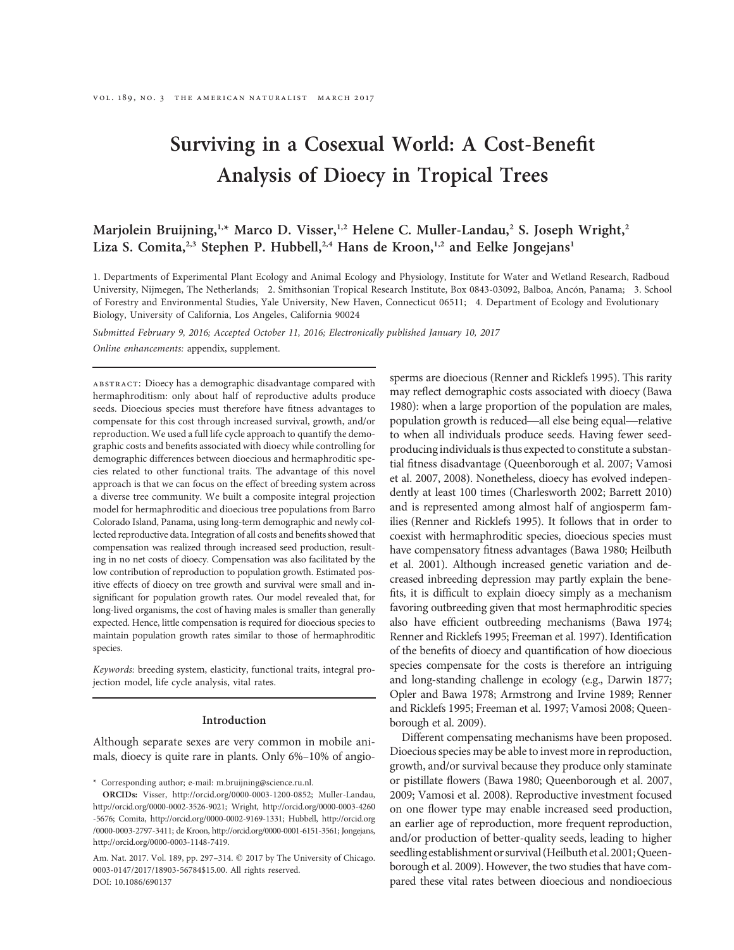# Surviving in a Cosexual World: A Cost-Benefit Analysis of Dioecy in Tropical Trees

# Marjolein Bruijning,<sup>1,\*</sup> Marco D. Visser,<sup>1,2</sup> Helene C. Muller-Landau,<sup>2</sup> S. Joseph Wright,<sup>2</sup> Liza S. Comita,<sup>2,3</sup> Stephen P. Hubbell,<sup>2,4</sup> Hans de Kroon,<sup>1,2</sup> and Eelke Jongejans<sup>1</sup>

1. Departments of Experimental Plant Ecology and Animal Ecology and Physiology, Institute for Water and Wetland Research, Radboud University, Nijmegen, The Netherlands; 2. Smithsonian Tropical Research Institute, Box 0843-03092, Balboa, Ancón, Panama; 3. School of Forestry and Environmental Studies, Yale University, New Haven, Connecticut 06511; 4. Department of Ecology and Evolutionary Biology, University of California, Los Angeles, California 90024

Submitted February 9, 2016; Accepted October 11, 2016; Electronically published January 10, 2017 Online enhancements: appendix, supplement.

abstract: Dioecy has a demographic disadvantage compared with hermaphroditism: only about half of reproductive adults produce seeds. Dioecious species must therefore have fitness advantages to compensate for this cost through increased survival, growth, and/or reproduction. We used a full life cycle approach to quantify the demographic costs and benefits associated with dioecy while controlling for demographic differences between dioecious and hermaphroditic species related to other functional traits. The advantage of this novel approach is that we can focus on the effect of breeding system across a diverse tree community. We built a composite integral projection model for hermaphroditic and dioecious tree populations from Barro Colorado Island, Panama, using long-term demographic and newly collected reproductive data. Integration of all costs and benefits showed that compensation was realized through increased seed production, resulting in no net costs of dioecy. Compensation was also facilitated by the low contribution of reproduction to population growth. Estimated positive effects of dioecy on tree growth and survival were small and insignificant for population growth rates. Our model revealed that, for long-lived organisms, the cost of having males is smaller than generally expected. Hence, little compensation is required for dioecious species to maintain population growth rates similar to those of hermaphroditic species.

Keywords: breeding system, elasticity, functional traits, integral projection model, life cycle analysis, vital rates.

#### Introduction

Although separate sexes are very common in mobile animals, dioecy is quite rare in plants. Only 6%–10% of angio-

\* Corresponding author; e-mail: m.bruijning@science.ru.nl.

Am. Nat. 2017. Vol. 189, pp. 297-314. @ 2017 by The University of Chicago. 0003-0147/2017/18903-56784\$15.00. All rights reserved. DOI: 10.1086/690137

sperms are dioecious (Renner and Ricklefs 1995). This rarity may reflect demographic costs associated with dioecy (Bawa 1980): when a large proportion of the population are males, population growth is reduced—all else being equal—relative to when all individuals produce seeds. Having fewer seedproducing individuals is thus expected to constitute a substantial fitness disadvantage (Queenborough et al. 2007; Vamosi et al. 2007, 2008). Nonetheless, dioecy has evolved independently at least 100 times (Charlesworth 2002; Barrett 2010) and is represented among almost half of angiosperm families (Renner and Ricklefs 1995). It follows that in order to coexist with hermaphroditic species, dioecious species must have compensatory fitness advantages (Bawa 1980; Heilbuth et al. 2001). Although increased genetic variation and decreased inbreeding depression may partly explain the benefits, it is difficult to explain dioecy simply as a mechanism favoring outbreeding given that most hermaphroditic species also have efficient outbreeding mechanisms (Bawa 1974; Renner and Ricklefs 1995; Freeman et al. 1997). Identification of the benefits of dioecy and quantification of how dioecious species compensate for the costs is therefore an intriguing and long-standing challenge in ecology (e.g., Darwin 1877; Opler and Bawa 1978; Armstrong and Irvine 1989; Renner and Ricklefs 1995; Freeman et al. 1997; Vamosi 2008; Queenborough et al. 2009).

Different compensating mechanisms have been proposed. Dioecious species may be able to invest more in reproduction, growth, and/or survival because they produce only staminate or pistillate flowers (Bawa 1980; Queenborough et al. 2007, 2009; Vamosi et al. 2008). Reproductive investment focused on one flower type may enable increased seed production, an earlier age of reproduction, more frequent reproduction, and/or production of better-quality seeds, leading to higher seedling establishment or survival (Heilbuth et al. 2001; Queenborough et al. 2009). However, the two studies that have compared these vital rates between dioecious and nondioecious

ORCIDs: Visser, http://orcid.org/0000-0003-1200-0852; Muller-Landau, http://orcid.org/0000-0002-3526-9021; Wright, http://orcid.org/0000-0003-4260 -5676; Comita, http://orcid.org/0000-0002-9169-1331; Hubbell, http://orcid.org /0000-0003-2797-3411; de Kroon, http://orcid.org/0000-0001-6151-3561; Jongejans, http://orcid.org/0000-0003-1148-7419.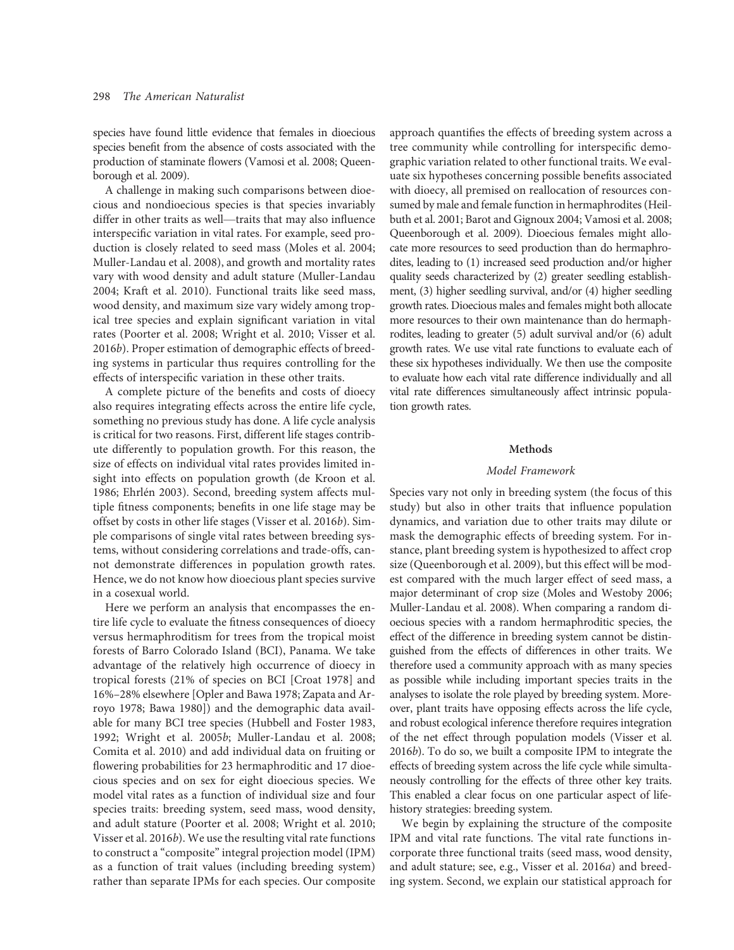species have found little evidence that females in dioecious species benefit from the absence of costs associated with the production of staminate flowers (Vamosi et al. 2008; Queenborough et al. 2009).

A challenge in making such comparisons between dioecious and nondioecious species is that species invariably differ in other traits as well—traits that may also influence interspecific variation in vital rates. For example, seed production is closely related to seed mass (Moles et al. 2004; Muller-Landau et al. 2008), and growth and mortality rates vary with wood density and adult stature (Muller-Landau 2004; Kraft et al. 2010). Functional traits like seed mass, wood density, and maximum size vary widely among tropical tree species and explain significant variation in vital rates (Poorter et al. 2008; Wright et al. 2010; Visser et al. 2016b). Proper estimation of demographic effects of breeding systems in particular thus requires controlling for the effects of interspecific variation in these other traits.

A complete picture of the benefits and costs of dioecy also requires integrating effects across the entire life cycle, something no previous study has done. A life cycle analysis is critical for two reasons. First, different life stages contribute differently to population growth. For this reason, the size of effects on individual vital rates provides limited insight into effects on population growth (de Kroon et al. 1986; Ehrlén 2003). Second, breeding system affects multiple fitness components; benefits in one life stage may be offset by costs in other life stages (Visser et al. 2016b). Simple comparisons of single vital rates between breeding systems, without considering correlations and trade-offs, cannot demonstrate differences in population growth rates. Hence, we do not know how dioecious plant species survive in a cosexual world.

Here we perform an analysis that encompasses the entire life cycle to evaluate the fitness consequences of dioecy versus hermaphroditism for trees from the tropical moist forests of Barro Colorado Island (BCI), Panama. We take advantage of the relatively high occurrence of dioecy in tropical forests (21% of species on BCI [Croat 1978] and 16%–28% elsewhere [Opler and Bawa 1978; Zapata and Arroyo 1978; Bawa 1980]) and the demographic data available for many BCI tree species (Hubbell and Foster 1983, 1992; Wright et al. 2005b; Muller-Landau et al. 2008; Comita et al. 2010) and add individual data on fruiting or flowering probabilities for 23 hermaphroditic and 17 dioecious species and on sex for eight dioecious species. We model vital rates as a function of individual size and four species traits: breeding system, seed mass, wood density, and adult stature (Poorter et al. 2008; Wright et al. 2010; Visser et al. 2016b). We use the resulting vital rate functions to construct a "composite" integral projection model (IPM) as a function of trait values (including breeding system) rather than separate IPMs for each species. Our composite

approach quantifies the effects of breeding system across a tree community while controlling for interspecific demographic variation related to other functional traits. We evaluate six hypotheses concerning possible benefits associated with dioecy, all premised on reallocation of resources consumed by male and female function in hermaphrodites (Heilbuth et al. 2001; Barot and Gignoux 2004; Vamosi et al. 2008; Queenborough et al. 2009). Dioecious females might allocate more resources to seed production than do hermaphrodites, leading to (1) increased seed production and/or higher quality seeds characterized by (2) greater seedling establishment, (3) higher seedling survival, and/or (4) higher seedling growth rates. Dioecious males and females might both allocate more resources to their own maintenance than do hermaphrodites, leading to greater (5) adult survival and/or (6) adult growth rates. We use vital rate functions to evaluate each of these six hypotheses individually. We then use the composite to evaluate how each vital rate difference individually and all vital rate differences simultaneously affect intrinsic population growth rates.

#### Methods

## Model Framework

Species vary not only in breeding system (the focus of this study) but also in other traits that influence population dynamics, and variation due to other traits may dilute or mask the demographic effects of breeding system. For instance, plant breeding system is hypothesized to affect crop size (Queenborough et al. 2009), but this effect will be modest compared with the much larger effect of seed mass, a major determinant of crop size (Moles and Westoby 2006; Muller-Landau et al. 2008). When comparing a random dioecious species with a random hermaphroditic species, the effect of the difference in breeding system cannot be distinguished from the effects of differences in other traits. We therefore used a community approach with as many species as possible while including important species traits in the analyses to isolate the role played by breeding system. Moreover, plant traits have opposing effects across the life cycle, and robust ecological inference therefore requires integration of the net effect through population models (Visser et al. 2016b). To do so, we built a composite IPM to integrate the effects of breeding system across the life cycle while simultaneously controlling for the effects of three other key traits. This enabled a clear focus on one particular aspect of lifehistory strategies: breeding system.

We begin by explaining the structure of the composite IPM and vital rate functions. The vital rate functions incorporate three functional traits (seed mass, wood density, and adult stature; see, e.g., Visser et al. 2016a) and breeding system. Second, we explain our statistical approach for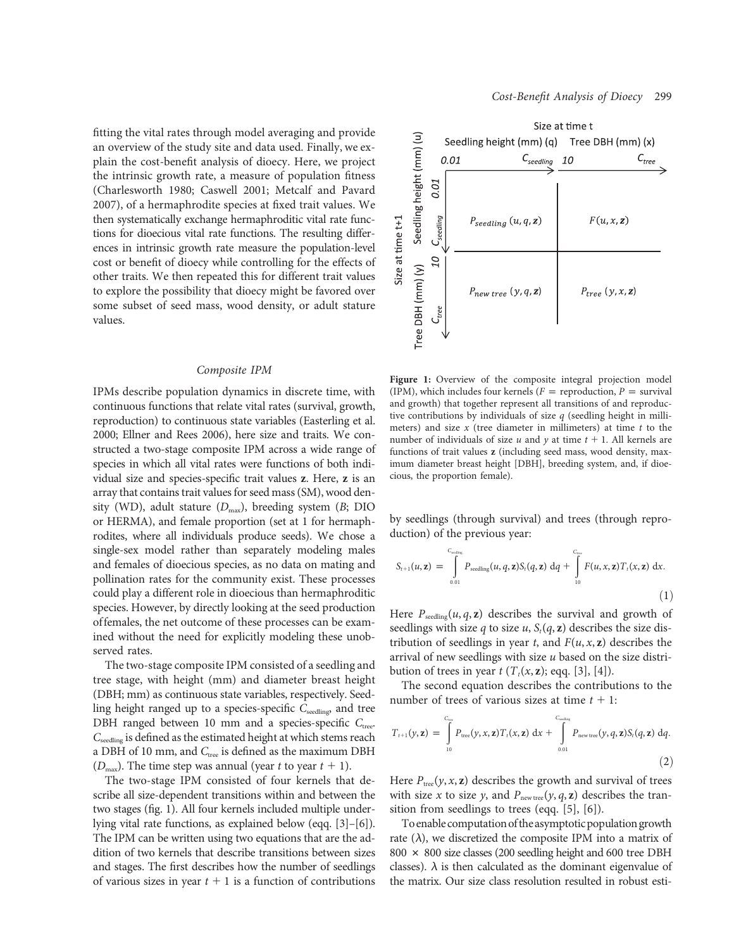fitting the vital rates through model averaging and provide an overview of the study site and data used. Finally, we explain the cost-benefit analysis of dioecy. Here, we project the intrinsic growth rate, a measure of population fitness (Charlesworth 1980; Caswell 2001; Metcalf and Pavard 2007), of a hermaphrodite species at fixed trait values. We then systematically exchange hermaphroditic vital rate functions for dioecious vital rate functions. The resulting differences in intrinsic growth rate measure the population-level cost or benefit of dioecy while controlling for the effects of other traits. We then repeated this for different trait values to explore the possibility that dioecy might be favored over some subset of seed mass, wood density, or adult stature values.

#### Composite IPM

IPMs describe population dynamics in discrete time, with continuous functions that relate vital rates (survival, growth, reproduction) to continuous state variables (Easterling et al. 2000; Ellner and Rees 2006), here size and traits. We constructed a two-stage composite IPM across a wide range of species in which all vital rates were functions of both individual size and species-specific trait values z. Here, z is an array that contains trait values for seed mass (SM), wood density (WD), adult stature  $(D_{\text{max}})$ , breeding system (B; DIO or HERMA), and female proportion (set at 1 for hermaphrodites, where all individuals produce seeds). We chose a single-sex model rather than separately modeling males and females of dioecious species, as no data on mating and pollination rates for the community exist. These processes could play a different role in dioecious than hermaphroditic species. However, by directly looking at the seed production offemales, the net outcome of these processes can be examined without the need for explicitly modeling these unobserved rates.

The two-stage composite IPM consisted of a seedling and tree stage, with height (mm) and diameter breast height (DBH; mm) as continuous state variables, respectively. Seedling height ranged up to a species-specific  $C_{\text{seedling}}$ , and tree DBH ranged between 10 mm and a species-specific  $C_{\text{tree}}$ . Cseedling is defined as the estimated height at which stems reach a DBH of 10 mm, and  $C_{\text{tree}}$  is defined as the maximum DBH ( $D_{\text{max}}$ ). The time step was annual (year t to year  $t + 1$ ).

The two-stage IPM consisted of four kernels that describe all size-dependent transitions within and between the two stages (fig. 1). All four kernels included multiple underlying vital rate functions, as explained below (eqq. [3]–[6]). The IPM can be written using two equations that are the addition of two kernels that describe transitions between sizes and stages. The first describes how the number of seedlings of various sizes in year  $t + 1$  is a function of contributions



Figure 1: Overview of the composite integral projection model (IPM), which includes four kernels ( $F =$  reproduction,  $P =$  survival and growth) that together represent all transitions of and reproductive contributions by individuals of size  $q$  (seedling height in millimeters) and size  $x$  (tree diameter in millimeters) at time  $t$  to the number of individuals of size u and y at time  $t + 1$ . All kernels are functions of trait values z (including seed mass, wood density, maximum diameter breast height [DBH], breeding system, and, if dioecious, the proportion female).

by seedlings (through survival) and trees (through reproduction) of the previous year:

$$
S_{t+1}(u, \mathbf{z}) = \int_{0.01}^{C_{\text{nonflow}}} P_{\text{seedling}}(u, q, \mathbf{z}) S_t(q, \mathbf{z}) \, dq + \int_{10}^{C_{\text{low}}} F(u, x, \mathbf{z}) T_t(x, \mathbf{z}) \, dx.
$$
\n(1)

Here  $P_{\text{seeding}}(u, q, z)$  describes the survival and growth of seedlings with size q to size u,  $S_t(q, z)$  describes the size distribution of seedlings in year t, and  $F(u, x, z)$  describes the arrival of new seedlings with size  $u$  based on the size distribution of trees in year  $t$  ( $T_t(x, z)$ ; eqq. [3], [4]).

The second equation describes the contributions to the number of trees of various sizes at time  $t + 1$ :

$$
T_{t+1}(y, \mathbf{z}) = \int_{10}^{C_{\text{true}}} P_{\text{tree}}(y, x, \mathbf{z}) T_t(x, \mathbf{z}) dx + \int_{0.01}^{C_{\text{nonfree}}} P_{\text{new tree}}(y, q, \mathbf{z}) S_t(q, \mathbf{z}) dq.
$$
\n(2)

Here  $P_{\text{tree}}(y, x, z)$  describes the growth and survival of trees with size x to size y, and  $P_{\text{new tree}}(y, q, z)$  describes the transition from seedlings to trees (eqq. [5], [6]).

To enable computation of the asymptotic population growth rate  $(\lambda)$ , we discretized the composite IPM into a matrix of  $800 \times 800$  size classes (200 seedling height and 600 tree DBH classes).  $\lambda$  is then calculated as the dominant eigenvalue of the matrix. Our size class resolution resulted in robust esti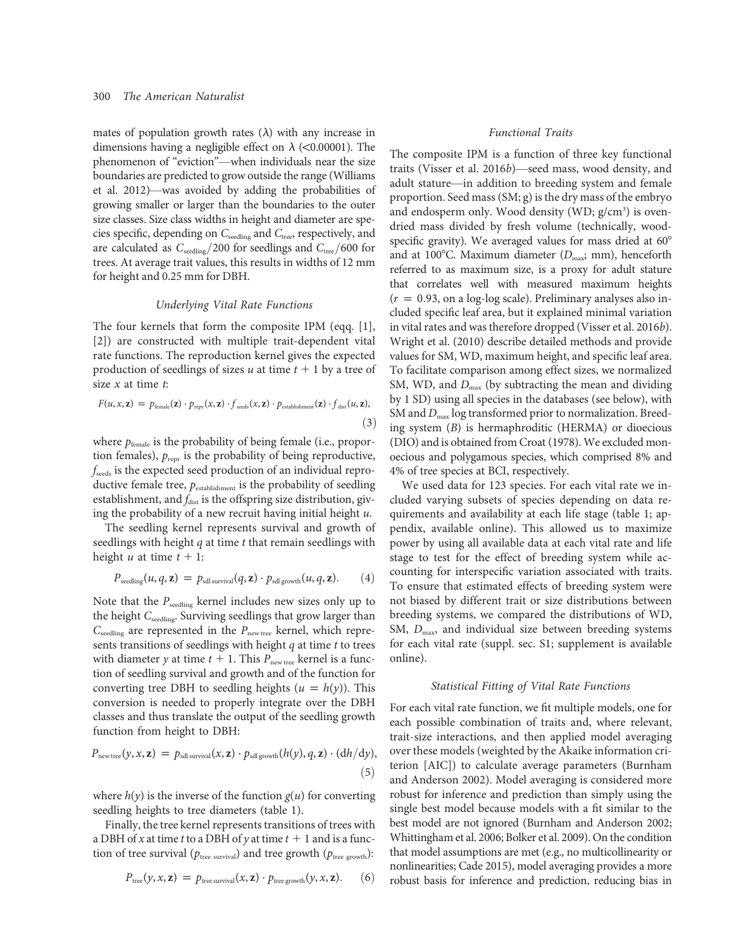mates of population growth rates  $(\lambda)$  with any increase in dimensions having a negligible effect on  $\lambda$  (<0.00001). The phenomenon of "eviction"—when individuals near the size boundaries are predicted to grow outside the range (Williams et al. 2012)—was avoided by adding the probabilities of growing smaller or larger than the boundaries to the outer size classes. Size class widths in height and diameter are species specific, depending on  $C_{\rm seeding}$  and  $C_{\rm tree}$  respectively, and are calculated as  $C_{\text{seeding}}/200$  for seedlings and  $C_{\text{tree}}/600$  for trees. At average trait values, this results in widths of 12 mm for height and 0.25 mm for DBH.

# Underlying Vital Rate Functions

The four kernels that form the composite IPM (eqq. [1], [2]) are constructed with multiple trait-dependent vital rate functions. The reproduction kernel gives the expected production of seedlings of sizes u at time  $t + 1$  by a tree of size  $x$  at time  $t$ :

$$
F(u, x, \mathbf{z}) = p_{\text{female}}(\mathbf{z}) \cdot p_{\text{repr}}(x, \mathbf{z}) \cdot f_{\text{seeds}}(x, \mathbf{z}) \cdot p_{\text{establishment}}(\mathbf{z}) \cdot f_{\text{dist}}(u, \mathbf{z}),
$$
\n(3)

where  $p_{\text{female}}$  is the probability of being female (i.e., proportion females),  $p_{\text{repr}}$  is the probability of being reproductive,  $f_{\text{seeds}}$  is the expected seed production of an individual reproductive female tree,  $p_{\text{establishment}}$  is the probability of seedling establishment, and  $f_{\text{dist}}$  is the offspring size distribution, giving the probability of a new recruit having initial height  $u$ .

The seedling kernel represents survival and growth of seedlings with height  $q$  at time  $t$  that remain seedlings with height u at time  $t + 1$ :

$$
P_{\text{seedling}}(u, q, \mathbf{z}) = p_{\text{sdl survival}}(q, \mathbf{z}) \cdot p_{\text{sdl growth}}(u, q, \mathbf{z}). \qquad (4)
$$

Note that the  $P_{\text{seeding}}$  kernel includes new sizes only up to the height  $C_{\text{seeding}}$ . Surviving seedlings that grow larger than  $C_{\text{seeding}}$  are represented in the  $P_{\text{new tree}}$  kernel, which represents transitions of seedlings with height  $q$  at time  $t$  to trees with diameter y at time  $t + 1$ . This  $P_{\text{new tree}}$  kernel is a function of seedling survival and growth and of the function for converting tree DBH to seedling heights  $(u = h(y))$ . This conversion is needed to properly integrate over the DBH classes and thus translate the output of the seedling growth function from height to DBH:

$$
P_{\text{new tree}}(y, x, \mathbf{z}) = p_{\text{sdl survival}}(x, \mathbf{z}) \cdot p_{\text{sdl growth}}(h(y), q, \mathbf{z}) \cdot (\mathrm{d}h/\mathrm{d}y),
$$
\n
$$
(5)
$$

where  $h(y)$  is the inverse of the function  $g(u)$  for converting seedling heights to tree diameters (table 1).

Finally, the tree kernel represents transitions of trees with a DBH of x at time t to a DBH of y at time  $t + 1$  and is a function of tree survival ( $p_{\text{tree survival}}$ ) and tree growth ( $p_{\text{tree growth}}$ ):

$$
P_{\text{tree}}(y, x, \mathbf{z}) = p_{\text{tree survival}}(x, \mathbf{z}) \cdot p_{\text{tree growth}}(y, x, \mathbf{z}). \qquad (6)
$$

#### Functional Traits

The composite IPM is a function of three key functional traits (Visser et al. 2016b)—seed mass, wood density, and adult stature—in addition to breeding system and female proportion. Seed mass (SM; g) is the dry mass of the embryo and endosperm only. Wood density (WD; g/cm<sup>3</sup>) is ovendried mass divided by fresh volume (technically, woodspecific gravity). We averaged values for mass dried at  $60^{\circ}$ and at 100°C. Maximum diameter ( $D_{\text{max}}$ ; mm), henceforth referred to as maximum size, is a proxy for adult stature that correlates well with measured maximum heights  $(r = 0.93,$  on a log-log scale). Preliminary analyses also included specific leaf area, but it explained minimal variation in vital rates and was therefore dropped (Visser et al. 2016b). Wright et al. (2010) describe detailed methods and provide values for SM, WD, maximum height, and specific leaf area. To facilitate comparison among effect sizes, we normalized SM, WD, and  $D_{\text{max}}$  (by subtracting the mean and dividing by 1 SD) using all species in the databases (see below), with SM and  $D_{\text{max}}$  log transformed prior to normalization. Breeding system (B) is hermaphroditic (HERMA) or dioecious (DIO) and is obtained from Croat (1978). We excluded monoecious and polygamous species, which comprised 8% and 4% of tree species at BCI, respectively.

We used data for 123 species. For each vital rate we included varying subsets of species depending on data requirements and availability at each life stage (table 1; appendix, available online). This allowed us to maximize power by using all available data at each vital rate and life stage to test for the effect of breeding system while accounting for interspecific variation associated with traits. To ensure that estimated effects of breeding system were not biased by different trait or size distributions between breeding systems, we compared the distributions of WD, SM,  $D_{\text{max}}$ , and individual size between breeding systems for each vital rate (suppl. sec. S1; supplement is available online).

# Statistical Fitting of Vital Rate Functions

For each vital rate function, we fit multiple models, one for each possible combination of traits and, where relevant, trait-size interactions, and then applied model averaging over these models (weighted by the Akaike information criterion [AIC]) to calculate average parameters (Burnham and Anderson 2002). Model averaging is considered more robust for inference and prediction than simply using the single best model because models with a fit similar to the best model are not ignored (Burnham and Anderson 2002; Whittingham et al. 2006; Bolker et al. 2009). On the condition that model assumptions are met (e.g., no multicollinearity or nonlinearities; Cade 2015), model averaging provides a more robust basis for inference and prediction, reducing bias in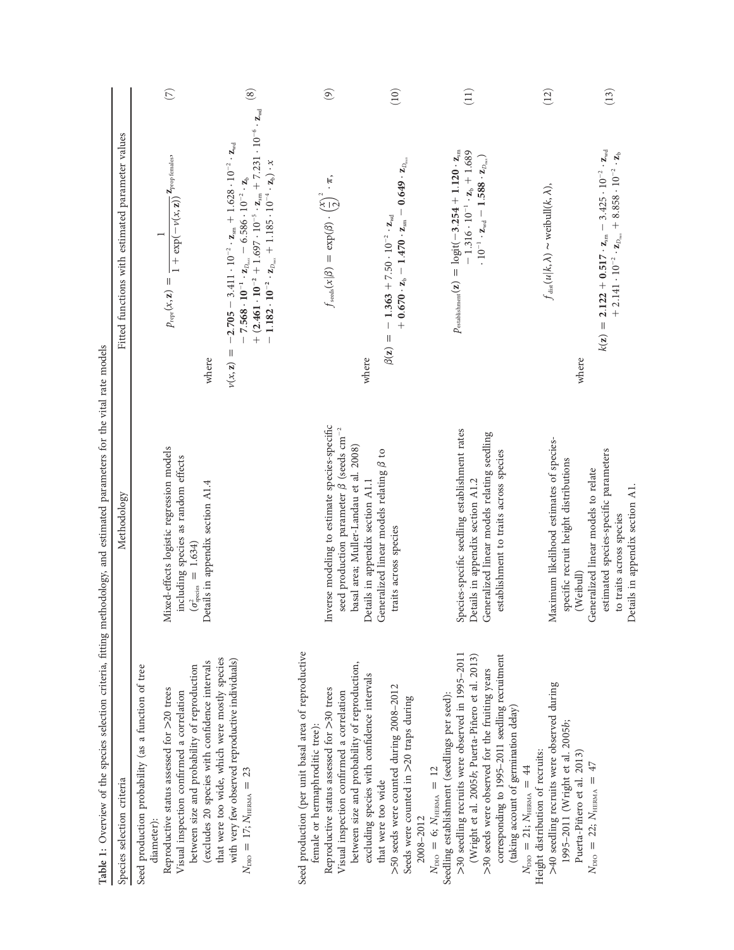| Table 1: Overview of the species selection criteria, fitting methodology, and estimated parameters for the vital rate models<br>Species selection criteria                                                                                                                                                                                       | Methodology                                                                                                                                                                | Fitted functions with estimated parameter values                                                                                                                                                                                                                                                                                                                                                                                                                        |               |
|--------------------------------------------------------------------------------------------------------------------------------------------------------------------------------------------------------------------------------------------------------------------------------------------------------------------------------------------------|----------------------------------------------------------------------------------------------------------------------------------------------------------------------------|-------------------------------------------------------------------------------------------------------------------------------------------------------------------------------------------------------------------------------------------------------------------------------------------------------------------------------------------------------------------------------------------------------------------------------------------------------------------------|---------------|
| between size and probability of reproduction<br>Seed production probability (as a function of tree<br>Reproductive status assessed for >20 trees<br>Visual inspection confirmed a correlation<br>diameter):                                                                                                                                      | Mixed-effects logistic regression models<br>including species as random effects<br>$(\sigma^2_{\text{species}} = 1.634)$                                                   | $p_{\text{repr}}(x, z) = \frac{1}{1 + \exp(-\nu(x, z))} Z_{\text{prop females}},$                                                                                                                                                                                                                                                                                                                                                                                       | (7)           |
| that were too wide, which were mostly species<br>with very few observed reproductive individuals)<br>(excludes 20 species with confidence intervals<br>$N_{\rm DIO} = 17; N_{\rm HERMA} = 23$                                                                                                                                                    | Details in appendix section A1.4                                                                                                                                           | $+ (2.461 \cdot 10^{-2} + 1.697 \cdot 10^{-5} \cdot z_{\rm sm} + 7.231 \cdot 10^{-6} \cdot z_{\rm wd}$<br>$-2.705 - 3.411 \cdot 10^{-2} \cdot z_{\rm sm} + 1.628 \cdot 10^{-2} \cdot z_{\rm wd}$<br>$-1.182\cdot10^{-2}\cdot z_{D_{\rm max}}+1.185\cdot10^{-4}\cdot z_{\rm b})\cdot x$<br>7.568 · $10^{-1} \cdot z_{D_{\text{max}}}$ – 6.586 · $10^{-2} \cdot z_b$<br>$\label{eq:1} \prod_{i=1}^n \left\{ \prod_{i=1}^n \frac{1}{n_i} \right\}$<br>where<br>$\nu(x, z)$ | $\circled{s}$ |
| Seed production (per unit basal area of reproductive<br>between size and probability of reproduction,<br>Reproductive status assessed for >30 trees<br>Visual inspection confirmed a correlation<br>female or hermaphroditic tree):                                                                                                              | Inverse modeling to estimate species-specific<br>seed production parameter $\beta$ (seeds cm <sup>-2</sup><br>basal area; Muller-Landau et al. 2008)                       | $f_{\text{seals}}(x \beta) = \exp(\beta) \cdot \left(\frac{x}{2}\right)^2 \cdot \pi,$                                                                                                                                                                                                                                                                                                                                                                                   | $\odot$       |
| excluding species with confidence intervals<br>>50 seeds were counted during 2008-2012<br>Seeds were counted in >20 traps during<br>that were too wide<br>2008-2012                                                                                                                                                                              | Generalized linear models relating $\beta$ to<br>Details in appendix section A1.1<br>traits across species                                                                 | $+ \; 0.670 \cdot \mathrm{z_{\mathrm{b}}} - 1.470 \cdot \mathrm{z_{\mathrm{sm}}} - 0.649 \cdot \mathrm{z_{\mathrm{D_{max}}}}$<br>$-1.363 + 7.50 \cdot 10^{-2} \cdot z_{wd}$<br>$\beta(z) =$<br>where                                                                                                                                                                                                                                                                    | (10)          |
| >30 seedling recruits were observed in 1995-2011<br>(Wright et al. 2005b; Puerta-Piñero et al. 2013)<br>corresponding to 1995-2011 seedling recruitment<br>>30 seeds were observed for the fruiting years<br>Seedling establishment (seedlings per seed):<br>(taking account of germination delay)<br>$N_{\text{DD}} = 6; N_{\text{HERMA}} = 12$ | Species-specific seedling establishment rates<br>Generalized linear models relating seedling<br>establishment to traits across species<br>Details in appendix section A1.2 | $p_{\text{establishment}}(\mathbf{z}) \, = \, \mathrm{logit}(-3.254 + 1.120 \cdot \mathbf{z}_{\text{sm}}$<br>$-1.316 \cdot 10^{-1} \cdot z_b + 1.689$<br>$\cdot$ 10 $^{-1}$ $\cdot$ $\mathbf{z}_{\tiny \text{wd}}$ $-$ 1.588 $\cdot$ $\mathbf{z}_{\tiny \text{D}_{\tiny \text{max}}})$                                                                                                                                                                                  | (11)          |
| >40 seedling recruits were observed during<br>1995-2011 (Wright et al. 2005b;<br>Height distribution of recruits:<br>Puerta-Piñero et al. 2013)<br>$N_{\rm DIO}~=~21;$ $N_{\rm HERMA}~=~44$                                                                                                                                                      | Maximum likelihood estimates of species-<br>specific recruit height distributions<br>(Weibull)                                                                             | $f_{dist}(u k,\lambda) \sim$ weibull(k, $\lambda$ ),<br>where                                                                                                                                                                                                                                                                                                                                                                                                           | (12)          |
| $N_{\text{DD}} = 22; N_{\text{HERMA}} = 47$                                                                                                                                                                                                                                                                                                      | estimated species-specific parameters<br>Generalized linear models to relate<br>Details in appendix section A1.<br>to traits across species                                | $k(z) = 2.122 + 0.517 \cdot z_{\rm sm} - 3.425 \cdot 10^{-2} \cdot z_{\rm wd}$<br>$+ 2.141 \cdot 10^{-2} \cdot \mathbf{z}_{D_{\text{max}}} + 8.858 \cdot 10^{-2} \cdot \mathbf{z}_{b}$                                                                                                                                                                                                                                                                                  | (13)          |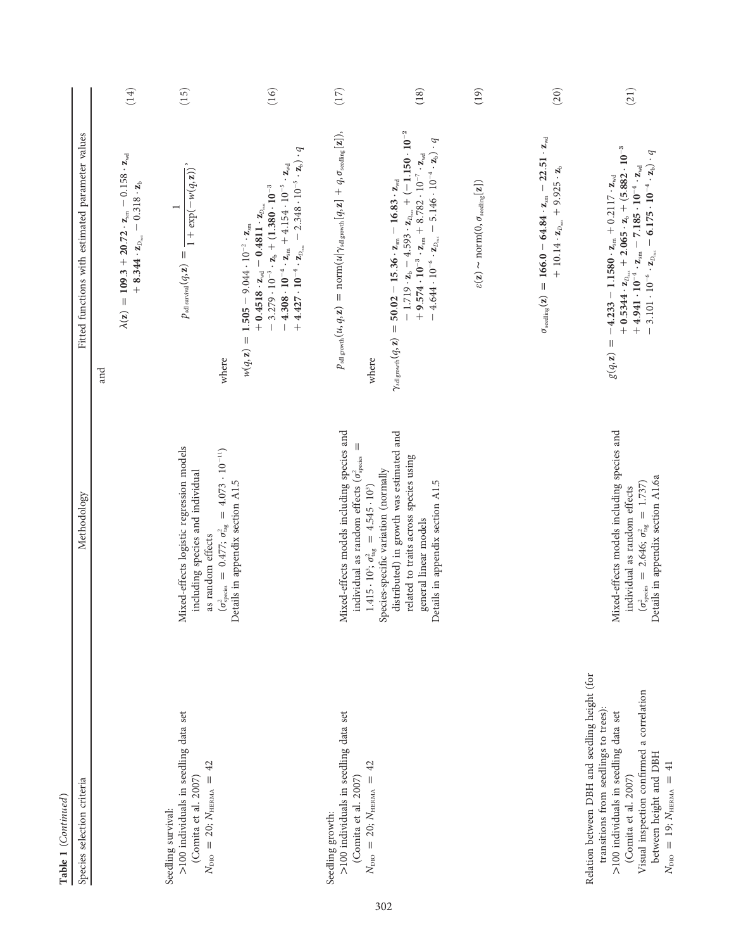| Table 1 (Continued)                                                                                                                                                                                                                                                           |                                                                                                                                                                                                                                                                   |                                                                                                                                                                                                                                                                                                                                                                                                                                                    |      |
|-------------------------------------------------------------------------------------------------------------------------------------------------------------------------------------------------------------------------------------------------------------------------------|-------------------------------------------------------------------------------------------------------------------------------------------------------------------------------------------------------------------------------------------------------------------|----------------------------------------------------------------------------------------------------------------------------------------------------------------------------------------------------------------------------------------------------------------------------------------------------------------------------------------------------------------------------------------------------------------------------------------------------|------|
| Species selection criteria                                                                                                                                                                                                                                                    | Methodology                                                                                                                                                                                                                                                       | Fitted functions with estimated parameter values                                                                                                                                                                                                                                                                                                                                                                                                   |      |
|                                                                                                                                                                                                                                                                               |                                                                                                                                                                                                                                                                   | $\lambda(z) = 109.3 + 20.72 \cdot z_{\rm sm} - 0.158 \cdot z_{\rm wd}$<br>$-0.318 \cdot z_{b}$<br>$+ 8.344 \cdot z_{D_{max}}$<br>and                                                                                                                                                                                                                                                                                                               | (14) |
| Seedling survival:                                                                                                                                                                                                                                                            |                                                                                                                                                                                                                                                                   | $\overline{ }$                                                                                                                                                                                                                                                                                                                                                                                                                                     |      |
| >100 individuals in seedling data set<br>$N_{\text{DIO}} = 20; N_{\text{HERMA}} = 42$<br>(Comita et al. 2007)                                                                                                                                                                 | Mixed-effects logistic regression models<br>$(\sigma^2_{\rm species}~=~0.477;~\sigma^2_{\rm tag}~=~4.073\,\cdot\,10^{-11})$<br>including species and individual<br>as random effects                                                                              | $\overline{1+\exp(-w(q,\mathbf{z}))}$<br>$p_{\mathrm{sdusurival}}(q, \mathbf{z}) =$<br>where                                                                                                                                                                                                                                                                                                                                                       | (15) |
|                                                                                                                                                                                                                                                                               | Details in appendix section A1.5                                                                                                                                                                                                                                  | $+ 4.427 \cdot 10^{-4} \cdot \boldsymbol{z}_{D_{\text{max}}} - 2.348 \cdot 10^{-5} \cdot \boldsymbol{z}_{\text{b}}) \cdot q$<br>$-4.308 \cdot 10^{-4} \cdot z_{\rm sm} + 4.154 \cdot 10^{-5} \cdot z_{\rm wd}$<br>$-3.279 \cdot 10^{-3} \cdot z_b + (1.380 \cdot 10^{-3}$<br>$^+0.4518\cdot z_{\rm wd}^{}=0.4811\cdot z_{\rm D_{max}}^{}$<br>$= 1.505 - 9.044 \cdot 10^{-2} \cdot z_{\rm sm}$<br>w(q, z)                                           | (16) |
| >100 individuals in seedling data set<br>(Comita et al. 2007)<br>Seedling growth:                                                                                                                                                                                             | Mixed-effects models including species and<br>individual as random effects ( $\sigma_{\rm species}^2$                                                                                                                                                             | $p_{\mathrm{sal\, growth}}(u,q,\mathbf{z})\,=\,\mathrm{norm}(u \gamma_{\mathrm{sal\,growth}}[q,\mathbf{z}]\,+\,q,\sigma_{\mathrm{seeding}}[\mathbf{z}]),$                                                                                                                                                                                                                                                                                          | (17) |
| 42<br>$N_{\text{DIO}} = 20; N_{\text{HERMA}} =$                                                                                                                                                                                                                               | distributed) in growth was estimated and<br>related to traits across species using<br>Species-specific variation (normally<br>Details in appendix section A1.5<br>1.415 · 10 <sup>3</sup> ; $\sigma_{\text{tag}}^2 = 4.545 \cdot 10^3$ )<br>general linear models | $-1.719 \cdot z_b - 4.593 \cdot z_{D_{max}} + (-1.150 \cdot 10^{-2}$<br>$4.644 \cdot 10^{-6} \cdot \mathbf{z}_{D_{\text{max}}} - 5.146 \cdot 10^{-4} \cdot \mathbf{z}_{\text{b}}) \cdot q$<br>$+9.574 \cdot 10^{-3} \cdot z_{\rm sm} + 8.782 \cdot 10^{-7} \cdot z_{\rm wd}$<br>$50.02 - 15.36 \cdot z_{\rm sm} - 16.83 \cdot z_{\rm wd}$<br>$\gamma_{\mathrm{sdl\, growth}}(q,\mathbf{z})\,=\,$<br>where                                          | (18) |
|                                                                                                                                                                                                                                                                               |                                                                                                                                                                                                                                                                   | $\varepsilon(\mathbf{z}) \thicksim \mathrm{norm}(\mathbf{0}, \sigma_{\mathrm{seeding}}[\mathbf{z}])$                                                                                                                                                                                                                                                                                                                                               | (19) |
|                                                                                                                                                                                                                                                                               |                                                                                                                                                                                                                                                                   | $= 166.0 - 64.84 \cdot z_{\rm sm} - 22.51 \cdot z_{\rm wd}$<br>$+ 10.14 \cdot z_{D_{\text{max}}} + 9.925 \cdot z_b$<br>$\sigma_{\rm seeding}(\mathbf{z})$                                                                                                                                                                                                                                                                                          | (20) |
| Relation between DBH and seedling height (for<br>Visual inspection confirmed a correlation<br>transitions from seedlings to trees)<br>>100 individuals in seedling data set<br>between height and DBH<br>$N_{\text{DIO}} = 19; N_{\text{HERMA}} = 41$<br>(Comita et al. 2007) | ixed-effects models including species and<br>Details in appendix section A1.6a<br>$= 1.737$<br>individual as random effects<br>$(\sigma^2_{\rm species} = 2.646; \sigma^2_{\rm tag})$<br>$\geq$                                                                   | $+ 0.5344 \cdot z_{D_{\min}} + 2.065 \cdot z_{b} + (5.882 \cdot 10^{-3} \ + 4.941 \cdot 10^{-4} \cdot z_{\min} - 7.185 \cdot 10^{-4} \cdot z_{\text{wd}}$<br>$-3.101 \cdot 10^{-6} \cdot \mathbf{z}_{D_{\text{max}}} - 6.175 \cdot 10^{-4} \cdot \mathbf{z}_{\text{b}}) \cdot q$<br>$-4.233 - 1.1580 \cdot z_{\rm sm} + 0.2117 \cdot z_{\rm wd}$<br>$\label{eq:1} \prod_{i=1}^n \left\{ \prod_{i=1}^n \frac{1}{n_i} \right\}$<br>$g(q,\mathbf{z})$ | (21) |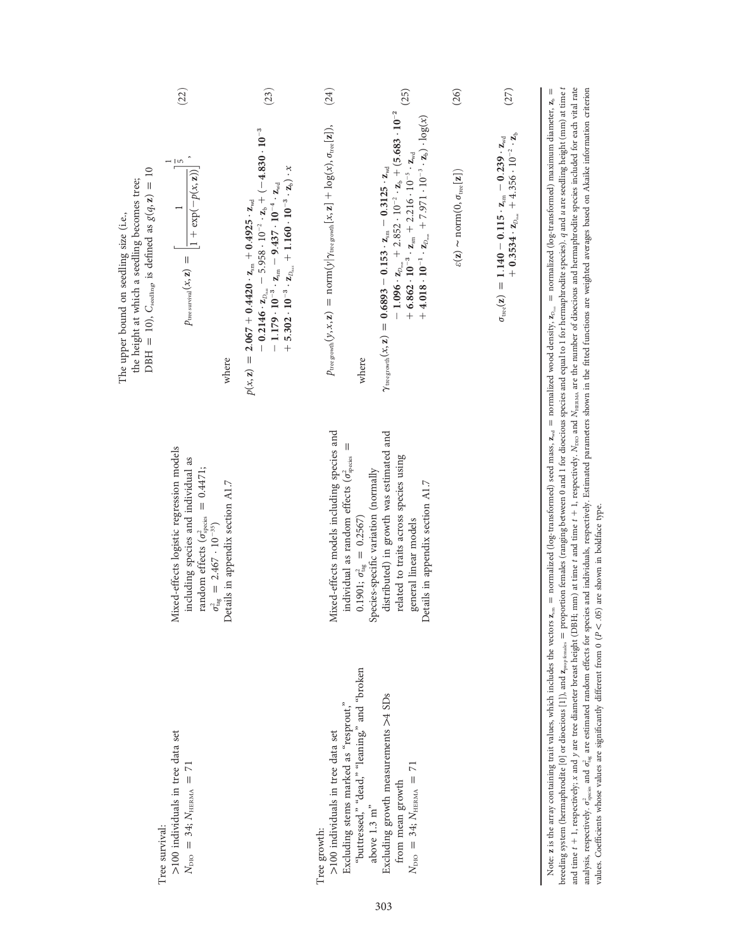|                                                                                                                                                         | (22)                                                                                                                                                                                          | (23)                                                                                                                                                                                                                                                                                                                                                                                 | (24)                                                                                                                                                         | (25)                                                                                                                                                                                                                                                                                                                                                                                                                    | (26)                                                                                | (27)                                                                                                                                                                      |                                                                                                                                                                                                                                                                                                                                                                                                                                                                                                                                                                                                                                                                                                                                                                                                                               |
|---------------------------------------------------------------------------------------------------------------------------------------------------------|-----------------------------------------------------------------------------------------------------------------------------------------------------------------------------------------------|--------------------------------------------------------------------------------------------------------------------------------------------------------------------------------------------------------------------------------------------------------------------------------------------------------------------------------------------------------------------------------------|--------------------------------------------------------------------------------------------------------------------------------------------------------------|-------------------------------------------------------------------------------------------------------------------------------------------------------------------------------------------------------------------------------------------------------------------------------------------------------------------------------------------------------------------------------------------------------------------------|-------------------------------------------------------------------------------------|---------------------------------------------------------------------------------------------------------------------------------------------------------------------------|-------------------------------------------------------------------------------------------------------------------------------------------------------------------------------------------------------------------------------------------------------------------------------------------------------------------------------------------------------------------------------------------------------------------------------------------------------------------------------------------------------------------------------------------------------------------------------------------------------------------------------------------------------------------------------------------------------------------------------------------------------------------------------------------------------------------------------|
| DBH = 10), $C_{\text{seeding}}$ is defined as $g(q, z) = 10$<br>the height at which a seedling becomes tree;<br>The upper bound on seedling size (i.e., | $\frac{1}{\sqrt{2}}$<br>$p_{\text{tree} \text{ survival}}(x, z) = \left  \frac{1}{1 + \exp(-p(x, z))} \right $<br>where                                                                       | $-0.2146 \cdot \frac{1}{L_{D_{\min}}}-5.958 \cdot 10^{-2} \cdot \frac{1}{L_0} + (-4.830 \cdot 10^{-3} - 1.179 \cdot 10^{-3} \cdot \frac{1}{L_{\min}} - 9.437 \cdot 10^{-4} \cdot \frac{1}{L_{\text{vol}}}}$<br>$+ 5.302 \cdot 10^{-3} \cdot z_{D_{\rm max}} + 1.160 \cdot 10^{-3} \cdot z_{\rm b}) \cdot x$<br>$p(x, z) = 2.067 + 0.4420 \cdot z_{\rm sm} + 0.4925 \cdot z_{\rm wd}$ | $p_{\text{tree growth}}(y,x,\mathbf{z})\,=\, \text{norm}(y \gamma_{\text{tree growth}}[x,\mathbf{z}]\,+\, \text{log}(x), \sigma_{\text{tree}}[\mathbf{z}]),$ | $- 1.096 \cdot z_{D_{\text{max}}} + 2.852 \cdot 10^{-2} \cdot z_{h} + (5.683 \cdot 10^{-2} + 6.862 \cdot 10^{-3} \cdot z_{\text{max}} + 2.216 \cdot 10^{-5} \cdot z_{\text{real}}$<br>$+ 4.018 \cdot 10^{-1} \cdot z_{D_{max}} + 7.971 \cdot 10^{-3} \cdot z_b) \cdot \log(x)$<br>$\gamma_{\rm tree\, growth}(x,\mathbf{z})\,=\,0.6893\,-\,0.153\,\cdot\mathbf{z}_{\rm sm}\,-\,0.3125\cdot\mathbf{z}_{\rm wd}$<br>where | $\varepsilon(\mathbf{z}) \sim \mathrm{norm}(0, \sigma_{\mathrm{tree}}[\mathbf{z}])$ | $+ 0.3534 \cdot z_{D_{\text{max}}} + 4.356 \cdot 10^{-2} \cdot z_b$<br>$\sigma_{\rm tree}({\bf z})\ =\ 1.140\ -0.115\cdot {\bf z}_{\rm sm}\ -0.239\cdot {\bf z}_{\rm wd}$ | breeding system (hermaphrodite [0] or dioecious [1]), and $q_{\rm pop\,fanh}$ = proportion females (ranging between 0 and 1 for dioecious species and equal to 1 for hermaphrodite species). $q$ and $u$ are seedling height (mm) at<br>and time $t + 1$ , respectively; x and y are tree diameter breast height (DBH; mm) at time t and time $t + 1$ , respectively. N <sub>p10</sub> and N <sub>HBMM</sub> are the number of dioecious and hermaphrodite species included for each vital rat<br>analysis, respectively, o <sub>pecia</sub> and o <sub>ne</sub> are estimated random effects for species and individuals, respectively. Estimated parameters shown in the fitted functions are weighted averages based on Akaike information criter<br>$=$ normalized (log-transformed) maximum diameter, $\mathbf{z}_b$ $=$ |
|                                                                                                                                                         | Mixed-effects logistic regression models<br>including species and individual as<br>$= 0.4471;$<br>random effects ( $\sigma^2_{\text{species}}$<br>$\sigma_{\rm tag}^2 = 2.467 \cdot 10^{-35}$ | Oetails in appendix section A1.7                                                                                                                                                                                                                                                                                                                                                     | Mixed-effects models including species and<br>II<br>individual as random effects ( $\sigma_{\rm species}^2$                                                  | distributed) in growth was estimated and<br>related to traits across species using<br>Species-specific variation (normally<br>betails in appendix section A1.7<br>$0.1901; \sigma^2_{\text{tag}} = 0.2567$<br>general linear models                                                                                                                                                                                     |                                                                                     |                                                                                                                                                                           | $\mathbf{z}_{\rm sm} =$ normalized (log-transformed) seed mass, $\mathbf{z}_{\rm wd} =$ normalized wood density, $\mathbf{z}_{\rm O_{max}}$                                                                                                                                                                                                                                                                                                                                                                                                                                                                                                                                                                                                                                                                                   |
| Tree survival:                                                                                                                                          | >100 individuals in tree data set<br>$N_{\text{DIO}} = 34; N_{\text{HERMA}} = 71$                                                                                                             |                                                                                                                                                                                                                                                                                                                                                                                      | Excluding stems marked as "resprout,"<br>>100 individuals in tree data set<br>Tree growth:                                                                   | "buttressed," "dead," "leaning," and "broken<br>Excluding growth measurements >4 SDs<br>$\overline{2}$<br>$N_{\text{DIO}} = 34; N_{\text{HERMA}} =$<br>from mean growth<br>above 1.3 $\mathrm{m}^{\mathrm{s}}$                                                                                                                                                                                                          |                                                                                     |                                                                                                                                                                           | values. Coefficients whose values are significantly different from $0$ ( $P < 0.05$ ) are shown in boldface type.<br>Note: z is the array containing trait values, which includes the vectors                                                                                                                                                                                                                                                                                                                                                                                                                                                                                                                                                                                                                                 |

303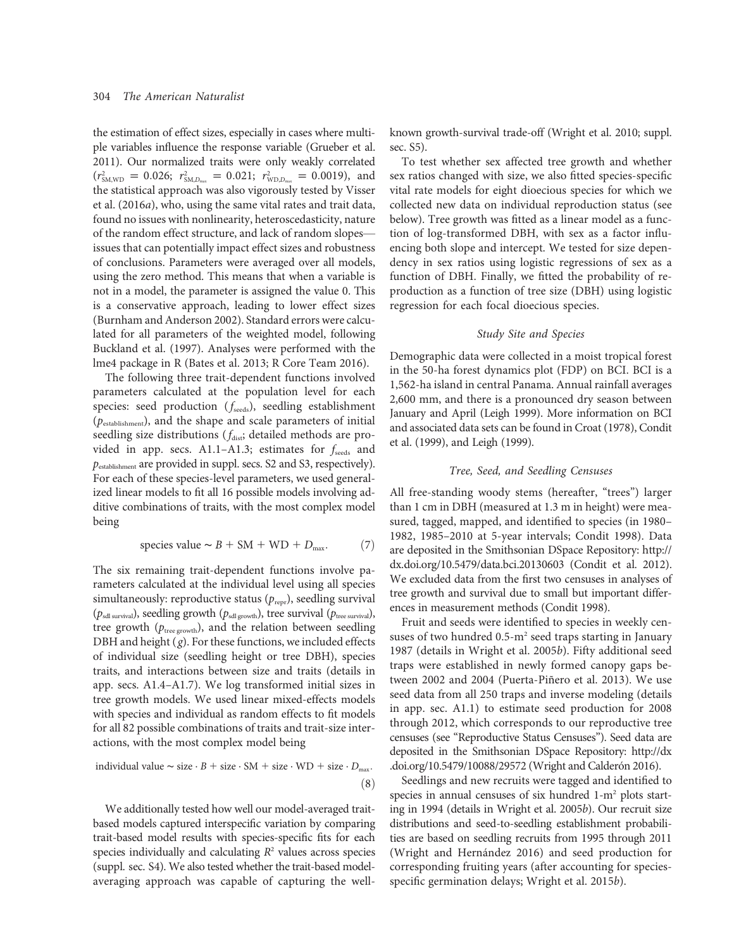the estimation of effect sizes, especially in cases where multiple variables influence the response variable (Grueber et al. 2011). Our normalized traits were only weakly correlated  $(r_{\text{SM,WD}}^2 = 0.026; r_{\text{SM,D}_{\text{max}}}^2 = 0.021; r_{\text{WD,D}_{\text{max}}}^2 = 0.0019)$ , and the statistical approach was also vigorously tested by Visser et al. (2016a), who, using the same vital rates and trait data, found no issues with nonlinearity, heteroscedasticity, nature of the random effect structure, and lack of random slopes issues that can potentially impact effect sizes and robustness of conclusions. Parameters were averaged over all models, using the zero method. This means that when a variable is not in a model, the parameter is assigned the value 0. This is a conservative approach, leading to lower effect sizes (Burnham and Anderson 2002). Standard errors were calculated for all parameters of the weighted model, following Buckland et al. (1997). Analyses were performed with the lme4 package in R (Bates et al. 2013; R Core Team 2016).

The following three trait-dependent functions involved parameters calculated at the population level for each species: seed production  $(f_{\text{seeds}})$ , seedling establishment (pestablishment), and the shape and scale parameters of initial seedling size distributions ( $f_{\text{dist}}$ ; detailed methods are provided in app. secs. A1.1–A1.3; estimates for  $f_{\text{seeds}}$  and pestablishment are provided in suppl. secs. S2 and S3, respectively). For each of these species-level parameters, we used generalized linear models to fit all 16 possible models involving additive combinations of traits, with the most complex model being

species value 
$$
\sim
$$
 *B* + SM + WD + *D*<sub>max</sub>. (7)

The six remaining trait-dependent functions involve parameters calculated at the individual level using all species simultaneously: reproductive status  $(p_{\text{repr}})$ , seedling survival  $(p_{sdl\,survival})$ , seedling growth  $(p_{sdl\,growth})$ , tree survival  $(p_{tree\,survival})$ , tree growth ( $p_{\text{tree growth}}$ ), and the relation between seedling DBH and height  $(g)$ . For these functions, we included effects of individual size (seedling height or tree DBH), species traits, and interactions between size and traits (details in app. secs. A1.4–A1.7). We log transformed initial sizes in tree growth models. We used linear mixed-effects models with species and individual as random effects to fit models for all 82 possible combinations of traits and trait-size interactions, with the most complex model being

individual value 
$$
\sim
$$
 size  $\cdot$  *B* + size  $\cdot$  SM + size  $\cdot$  WD + size  $\cdot$  *D*<sub>max</sub>.  
(8)

We additionally tested how well our model-averaged traitbased models captured interspecific variation by comparing trait-based model results with species-specific fits for each species individually and calculating  $R<sup>2</sup>$  values across species (suppl. sec. S4). We also tested whether the trait-based modelaveraging approach was capable of capturing the wellknown growth-survival trade-off (Wright et al. 2010; suppl. sec. S5).

To test whether sex affected tree growth and whether sex ratios changed with size, we also fitted species-specific vital rate models for eight dioecious species for which we collected new data on individual reproduction status (see below). Tree growth was fitted as a linear model as a function of log-transformed DBH, with sex as a factor influencing both slope and intercept. We tested for size dependency in sex ratios using logistic regressions of sex as a function of DBH. Finally, we fitted the probability of reproduction as a function of tree size (DBH) using logistic regression for each focal dioecious species.

#### Study Site and Species

Demographic data were collected in a moist tropical forest in the 50-ha forest dynamics plot (FDP) on BCI. BCI is a 1,562-ha island in central Panama. Annual rainfall averages 2,600 mm, and there is a pronounced dry season between January and April (Leigh 1999). More information on BCI and associated data sets can be found in Croat (1978), Condit et al. (1999), and Leigh (1999).

#### Tree, Seed, and Seedling Censuses

All free-standing woody stems (hereafter, "trees") larger than 1 cm in DBH (measured at 1.3 m in height) were measured, tagged, mapped, and identified to species (in 1980– 1982, 1985–2010 at 5-year intervals; Condit 1998). Data are deposited in the Smithsonian DSpace Repository: http:// dx.doi.org/10.5479/data.bci.20130603 (Condit et al. 2012). We excluded data from the first two censuses in analyses of tree growth and survival due to small but important differences in measurement methods (Condit 1998).

Fruit and seeds were identified to species in weekly censuses of two hundred  $0.5 \text{--} m^2$  seed traps starting in January 1987 (details in Wright et al. 2005b). Fifty additional seed traps were established in newly formed canopy gaps between 2002 and 2004 (Puerta-Piñero et al. 2013). We use seed data from all 250 traps and inverse modeling (details in app. sec. A1.1) to estimate seed production for 2008 through 2012, which corresponds to our reproductive tree censuses (see "Reproductive Status Censuses"). Seed data are deposited in the Smithsonian DSpace Repository: http://dx .doi.org/10.5479/10088/29572 (Wright and Calderón 2016).

Seedlings and new recruits were tagged and identified to species in annual censuses of six hundred 1-m<sup>2</sup> plots starting in 1994 (details in Wright et al. 2005b). Our recruit size distributions and seed-to-seedling establishment probabilities are based on seedling recruits from 1995 through 2011 (Wright and Hernández 2016) and seed production for corresponding fruiting years (after accounting for speciesspecific germination delays; Wright et al. 2015b).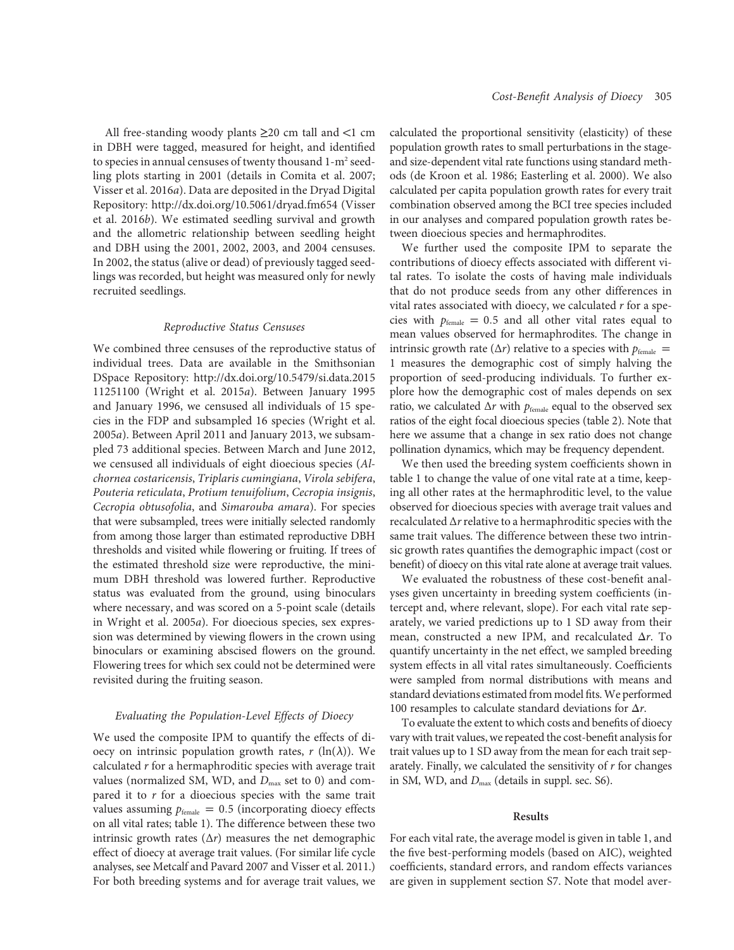All free-standing woody plants  $\geq$ 20 cm tall and <1 cm in DBH were tagged, measured for height, and identified to species in annual censuses of twenty thousand 1-m<sup>2</sup> seedling plots starting in 2001 (details in Comita et al. 2007; Visser et al. 2016a). Data are deposited in the Dryad Digital Repository: http://dx.doi.org/10.5061/dryad.fm654 (Visser et al. 2016b). We estimated seedling survival and growth and the allometric relationship between seedling height and DBH using the 2001, 2002, 2003, and 2004 censuses. In 2002, the status (alive or dead) of previously tagged seedlings was recorded, but height was measured only for newly recruited seedlings.

#### Reproductive Status Censuses

We combined three censuses of the reproductive status of individual trees. Data are available in the Smithsonian DSpace Repository: http://dx.doi.org/10.5479/si.data.2015 11251100 (Wright et al. 2015a). Between January 1995 and January 1996, we censused all individuals of 15 species in the FDP and subsampled 16 species (Wright et al. 2005a). Between April 2011 and January 2013, we subsampled 73 additional species. Between March and June 2012, we censused all individuals of eight dioecious species (Alchornea costaricensis, Triplaris cumingiana, Virola sebifera, Pouteria reticulata, Protium tenuifolium, Cecropia insignis, Cecropia obtusofolia, and Simarouba amara). For species that were subsampled, trees were initially selected randomly from among those larger than estimated reproductive DBH thresholds and visited while flowering or fruiting. If trees of the estimated threshold size were reproductive, the minimum DBH threshold was lowered further. Reproductive status was evaluated from the ground, using binoculars where necessary, and was scored on a 5-point scale (details in Wright et al. 2005a). For dioecious species, sex expression was determined by viewing flowers in the crown using binoculars or examining abscised flowers on the ground. Flowering trees for which sex could not be determined were revisited during the fruiting season.

# Evaluating the Population-Level Effects of Dioecy

We used the composite IPM to quantify the effects of dioecy on intrinsic population growth rates,  $r (\ln(\lambda))$ . We calculated  $r$  for a hermaphroditic species with average trait values (normalized SM, WD, and  $D_{\text{max}}$  set to 0) and compared it to  $r$  for a dioecious species with the same trait values assuming  $p_{\text{female}} = 0.5$  (incorporating dioecy effects on all vital rates; table 1). The difference between these two intrinsic growth rates  $(\Delta r)$  measures the net demographic effect of dioecy at average trait values. (For similar life cycle analyses, see Metcalf and Pavard 2007 and Visser et al. 2011.) For both breeding systems and for average trait values, we

calculated the proportional sensitivity (elasticity) of these population growth rates to small perturbations in the stageand size-dependent vital rate functions using standard methods (de Kroon et al. 1986; Easterling et al. 2000). We also calculated per capita population growth rates for every trait combination observed among the BCI tree species included in our analyses and compared population growth rates between dioecious species and hermaphrodites.

We further used the composite IPM to separate the contributions of dioecy effects associated with different vital rates. To isolate the costs of having male individuals that do not produce seeds from any other differences in vital rates associated with dioecy, we calculated  $r$  for a species with  $p_{\text{female}} = 0.5$  and all other vital rates equal to mean values observed for hermaphrodites. The change in intrinsic growth rate ( $\Delta r$ ) relative to a species with  $p_{\text{female}} =$ 1 measures the demographic cost of simply halving the proportion of seed-producing individuals. To further explore how the demographic cost of males depends on sex ratio, we calculated  $\Delta r$  with  $p_{\text{female}}$  equal to the observed sex ratios of the eight focal dioecious species (table 2). Note that here we assume that a change in sex ratio does not change pollination dynamics, which may be frequency dependent.

We then used the breeding system coefficients shown in table 1 to change the value of one vital rate at a time, keeping all other rates at the hermaphroditic level, to the value observed for dioecious species with average trait values and recalculated  $\Delta r$  relative to a hermaphroditic species with the same trait values. The difference between these two intrinsic growth rates quantifies the demographic impact (cost or benefit) of dioecy on this vital rate alone at average trait values.

We evaluated the robustness of these cost-benefit analyses given uncertainty in breeding system coefficients (intercept and, where relevant, slope). For each vital rate separately, we varied predictions up to 1 SD away from their mean, constructed a new IPM, and recalculated  $\Delta r$ . To quantify uncertainty in the net effect, we sampled breeding system effects in all vital rates simultaneously. Coefficients were sampled from normal distributions with means and standard deviations estimated from model fits.We performed 100 resamples to calculate standard deviations for  $\Delta r$ .

To evaluate the extent to which costs and benefits of dioecy vary with trait values, we repeated the cost-benefit analysis for trait values up to 1 SD away from the mean for each trait separately. Finally, we calculated the sensitivity of  $r$  for changes in SM, WD, and  $D_{\text{max}}$  (details in suppl. sec. S6).

#### Results

For each vital rate, the average model is given in table 1, and the five best-performing models (based on AIC), weighted coefficients, standard errors, and random effects variances are given in supplement section S7. Note that model aver-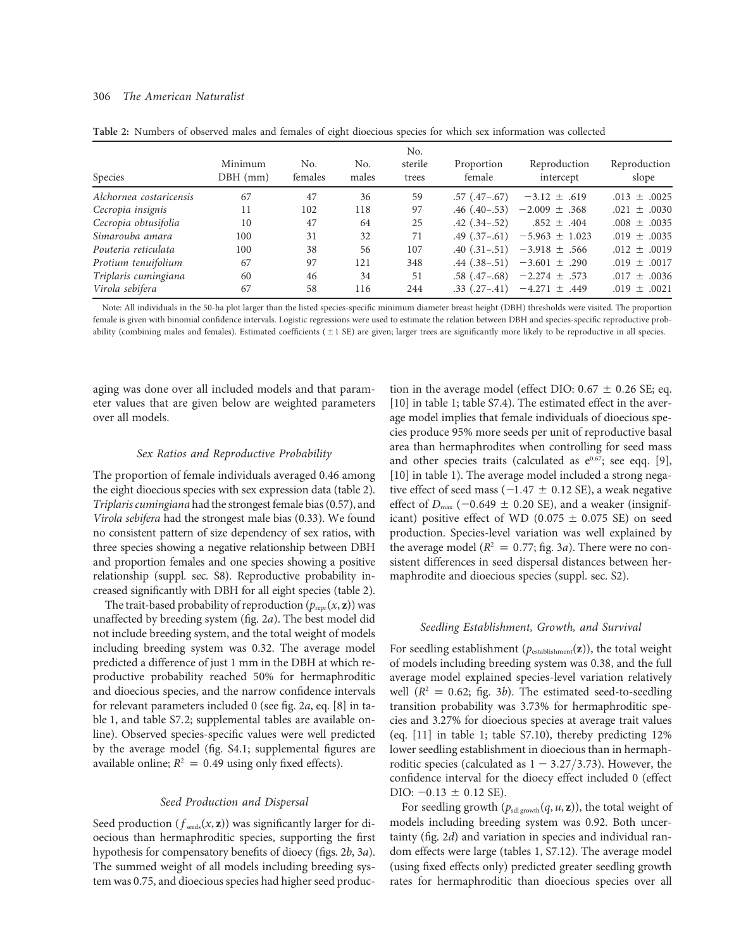# 306 The American Naturalist

| Species                 | Minimum<br>$DBH$ (mm) | No.<br>females | No.<br>males | No.<br>sterile<br>trees | Proportion<br>female | Reproduction<br>intercept         | Reproduction<br>slope |
|-------------------------|-----------------------|----------------|--------------|-------------------------|----------------------|-----------------------------------|-----------------------|
| Alchornea costaricensis | 67                    | 47             | 36           | 59                      | $.57$ $(.47-.67)$    | $-3.12 \pm .619$                  | $.013 \pm .0025$      |
| Cecropia insignis       | 11                    | 102            | 118          | 97                      | $.46$ $(.40-.53)$    | $-2.009 \pm .368$                 | $.021 \pm .0030$      |
| Cecropia obtusifolia    | 10                    | 47             | 64           | 25                      | $.42(.34-.52)$       | $.852 \pm .404$                   | $.008 \pm .0035$      |
| Simarouba amara         | 100                   | 31             | 32           | 71                      | $.49$ $(.37-.61)$    | $-5.963 \pm 1.023$                | $.019 \pm .0035$      |
| Pouteria reticulata     | 100                   | 38             | 56           | 107                     |                      | .40 $(.31-.51)$ -3.918 $\pm$ .566 | $.012 \pm .0019$      |
| Protium tenuifolium     | 67                    | 97             | 121          | 348                     |                      | .44 $(.38-.51)$ -3.601 $\pm$ .290 | $.019 \pm .0017$      |
| Triplaris cumingiana    | 60                    | 46             | 34           | 51                      |                      | $.58(.47 - .68) -2.274 \pm .573$  | $.017 \pm .0036$      |
| Virola sebifera         | 67                    | 58             | 116          | 244                     | $.33$ $(.27-.41)$    | $-4.271 \pm .449$                 | $.019 \pm .0021$      |

Table 2: Numbers of observed males and females of eight dioecious species for which sex information was collected

Note: All individuals in the 50-ha plot larger than the listed species-specific minimum diameter breast height (DBH) thresholds were visited. The proportion female is given with binomial confidence intervals. Logistic regressions were used to estimate the relation between DBH and species-specific reproductive probability (combining males and females). Estimated coefficients  $(\pm 1 \text{ SE})$  are given; larger trees are significantly more likely to be reproductive in all species.

aging was done over all included models and that parameter values that are given below are weighted parameters over all models.

# Sex Ratios and Reproductive Probability

The proportion of female individuals averaged 0.46 among the eight dioecious species with sex expression data (table 2). Triplaris cumingiana had the strongest female bias (0.57), and Virola sebifera had the strongest male bias (0.33). We found no consistent pattern of size dependency of sex ratios, with three species showing a negative relationship between DBH and proportion females and one species showing a positive relationship (suppl. sec. S8). Reproductive probability increased significantly with DBH for all eight species (table 2).

The trait-based probability of reproduction ( $p_{\text{repr}}(x, z)$ ) was unaffected by breeding system (fig. 2a). The best model did not include breeding system, and the total weight of models including breeding system was 0.32. The average model predicted a difference of just 1 mm in the DBH at which reproductive probability reached 50% for hermaphroditic and dioecious species, and the narrow confidence intervals for relevant parameters included 0 (see fig. 2a, eq. [8] in table 1, and table S7.2; supplemental tables are available online). Observed species-specific values were well predicted by the average model (fig. S4.1; supplemental figures are available online;  $R^2 = 0.49$  using only fixed effects).

#### Seed Production and Dispersal

Seed production ( $f_{\text{seeds}}(x, z)$ ) was significantly larger for dioecious than hermaphroditic species, supporting the first hypothesis for compensatory benefits of dioecy (figs. 2b, 3a). The summed weight of all models including breeding system was 0.75, and dioecious species had higher seed production in the average model (effect DIO:  $0.67 \pm 0.26$  SE; eq. [10] in table 1; table S7.4). The estimated effect in the average model implies that female individuals of dioecious species produce 95% more seeds per unit of reproductive basal area than hermaphrodites when controlling for seed mass and other species traits (calculated as  $e^{0.67}$ ; see eqq. [9], [10] in table 1). The average model included a strong negative effect of seed mass ( $-1.47 \pm 0.12$  SE), a weak negative effect of  $D_{\text{max}}$  (-0.649  $\pm$  0.20 SE), and a weaker (insignificant) positive effect of WD (0.075  $\pm$  0.075 SE) on seed production. Species-level variation was well explained by the average model ( $R<sup>2</sup> = 0.77$ ; fig. 3a). There were no consistent differences in seed dispersal distances between hermaphrodite and dioecious species (suppl. sec. S2).

#### Seedling Establishment, Growth, and Survival

For seedling establishment ( $p_{\text{establishment}}(z)$ ), the total weight of models including breeding system was 0.38, and the full average model explained species-level variation relatively well ( $R^2 = 0.62$ ; fig. 3b). The estimated seed-to-seedling transition probability was 3.73% for hermaphroditic species and 3.27% for dioecious species at average trait values (eq. [11] in table 1; table S7.10), thereby predicting 12% lower seedling establishment in dioecious than in hermaphroditic species (calculated as  $1 - 3.27/3.73$ ). However, the confidence interval for the dioecy effect included 0 (effect DIO:  $-0.13 \pm 0.12$  SE).

For seedling growth  $(p_{sd|growth}(q, u, z))$ , the total weight of models including breeding system was 0.92. Both uncertainty (fig. 2d) and variation in species and individual random effects were large (tables 1, S7.12). The average model (using fixed effects only) predicted greater seedling growth rates for hermaphroditic than dioecious species over all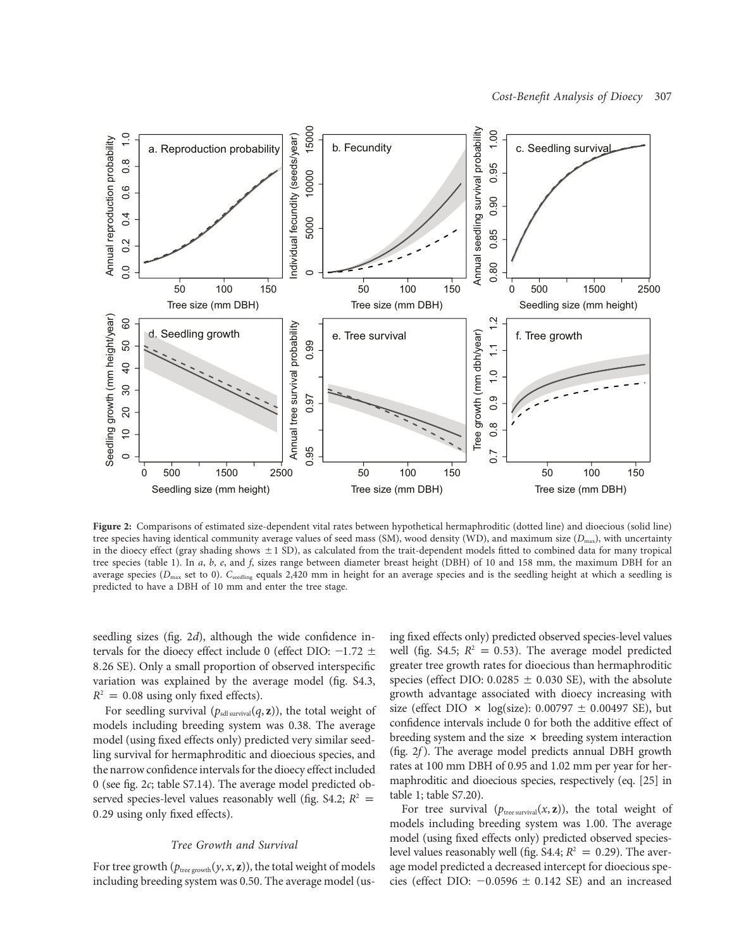

Figure 2: Comparisons of estimated size-dependent vital rates between hypothetical hermaphroditic (dotted line) and dioecious (solid line) tree species having identical community average values of seed mass (SM), wood density (WD), and maximum size  $(D_{\text{max}})$ , with uncertainty in the dioecy effect (gray shading shows  $\pm 1$  SD), as calculated from the trait-dependent models fitted to combined data for many tropical tree species (table 1). In a, b, e, and f, sizes range between diameter breast height (DBH) of 10 and 158 mm, the maximum DBH for an average species ( $D_{\text{max}}$  set to 0).  $C_{\text{seeding}}$  equals 2,420 mm in height for an average species and is the seedling height at which a seedling is predicted to have a DBH of 10 mm and enter the tree stage.

seedling sizes (fig. 2d), although the wide confidence intervals for the dioecy effect include 0 (effect DIO:  $-1.72 \pm$ 8:26 SE). Only a small proportion of observed interspecific variation was explained by the average model (fig. S4.3,  $R^2 = 0.08$  using only fixed effects).

For seedling survival ( $p_{sdl\,survival}(q, z)$ ), the total weight of models including breeding system was 0.38. The average model (using fixed effects only) predicted very similar seedling survival for hermaphroditic and dioecious species, and the narrow confidence intervals for the dioecy effect included 0 (see fig. 2c; table S7.14). The average model predicted observed species-level values reasonably well (fig. S4.2;  $R^2 =$ 0:29 using only fixed effects).

#### Tree Growth and Survival

For tree growth ( $p_{\text{tree growth}}(y, x, z)$ ), the total weight of models including breeding system was 0.50. The average model (using fixed effects only) predicted observed species-level values well (fig. S4.5;  $R^2 = 0.53$ ). The average model predicted greater tree growth rates for dioecious than hermaphroditic species (effect DIO:  $0.0285 \pm 0.030$  SE), with the absolute growth advantage associated with dioecy increasing with size (effect DIO  $\times$  log(size): 0.00797  $\pm$  0.00497 SE), but confidence intervals include 0 for both the additive effect of breeding system and the size  $\times$  breeding system interaction (fig.  $2f$ ). The average model predicts annual DBH growth rates at 100 mm DBH of 0.95 and 1.02 mm per year for hermaphroditic and dioecious species, respectively (eq. [25] in table 1; table S7.20).

For tree survival  $(p_{\text{tree survival}}(x, z))$ , the total weight of models including breeding system was 1.00. The average model (using fixed effects only) predicted observed specieslevel values reasonably well (fig. S4.4;  $R^2 = 0.29$ ). The average model predicted a decreased intercept for dioecious species (effect DIO:  $-0.0596 \pm 0.142$  SE) and an increased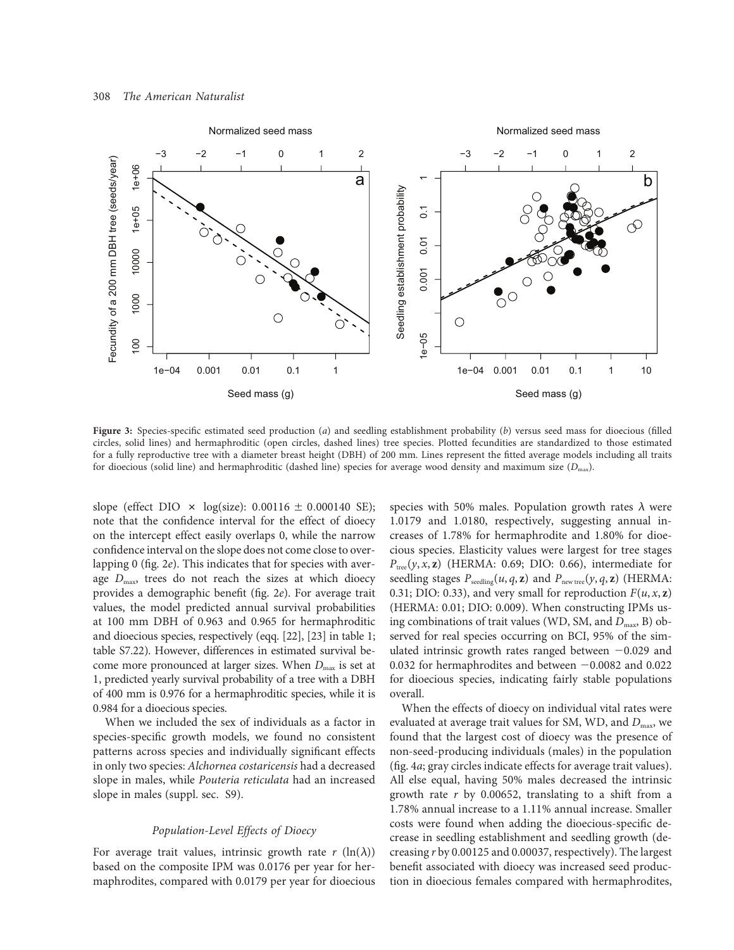

Figure 3: Species-specific estimated seed production  $(a)$  and seedling establishment probability  $(b)$  versus seed mass for dioecious (filled circles, solid lines) and hermaphroditic (open circles, dashed lines) tree species. Plotted fecundities are standardized to those estimated for a fully reproductive tree with a diameter breast height (DBH) of 200 mm. Lines represent the fitted average models including all traits for dioecious (solid line) and hermaphroditic (dashed line) species for average wood density and maximum size  $(D_{\text{max}})$ .

slope (effect DIO  $\times$  log(size): 0.00116  $\pm$  0.000140 SE); note that the confidence interval for the effect of dioecy on the intercept effect easily overlaps 0, while the narrow confidence interval on the slope does not come close to overlapping 0 (fig. 2e). This indicates that for species with average  $D_{\text{max}}$  trees do not reach the sizes at which dioecy provides a demographic benefit (fig. 2e). For average trait values, the model predicted annual survival probabilities at 100 mm DBH of 0.963 and 0.965 for hermaphroditic and dioecious species, respectively (eqq. [22], [23] in table 1; table S7.22). However, differences in estimated survival become more pronounced at larger sizes. When  $D_{\text{max}}$  is set at 1, predicted yearly survival probability of a tree with a DBH of 400 mm is 0.976 for a hermaphroditic species, while it is 0.984 for a dioecious species.

When we included the sex of individuals as a factor in species-specific growth models, we found no consistent patterns across species and individually significant effects in only two species: Alchornea costaricensis had a decreased slope in males, while Pouteria reticulata had an increased slope in males (suppl. sec. S9).

# Population-Level Effects of Dioecy

For average trait values, intrinsic growth rate  $r (\ln(\lambda))$ based on the composite IPM was 0.0176 per year for hermaphrodites, compared with 0.0179 per year for dioecious species with 50% males. Population growth rates  $\lambda$  were 1.0179 and 1.0180, respectively, suggesting annual increases of 1.78% for hermaphrodite and 1.80% for dioecious species. Elasticity values were largest for tree stages  $P_{tree}(y, x, z)$  (HERMA: 0.69; DIO: 0.66), intermediate for seedling stages  $P_{\text{seedling}}(u, q, z)$  and  $P_{\text{new tree}}(y, q, z)$  (HERMA: 0.31; DIO: 0.33), and very small for reproduction  $F(u, x, z)$ (HERMA: 0.01; DIO: 0.009). When constructing IPMs using combinations of trait values (WD, SM, and  $D_{\text{max}}$ , B) observed for real species occurring on BCI, 95% of the simulated intrinsic growth rates ranged between  $-0.029$  and 0.032 for hermaphrodites and between  $-0.0082$  and 0.022 for dioecious species, indicating fairly stable populations overall.

When the effects of dioecy on individual vital rates were evaluated at average trait values for SM, WD, and  $D_{\text{max}}$ , we found that the largest cost of dioecy was the presence of non-seed-producing individuals (males) in the population (fig. 4a; gray circles indicate effects for average trait values). All else equal, having 50% males decreased the intrinsic growth rate  $r$  by 0.00652, translating to a shift from a 1.78% annual increase to a 1.11% annual increase. Smaller costs were found when adding the dioecious-specific decrease in seedling establishment and seedling growth (decreasing r by 0.00125 and 0.00037, respectively). The largest benefit associated with dioecy was increased seed production in dioecious females compared with hermaphrodites,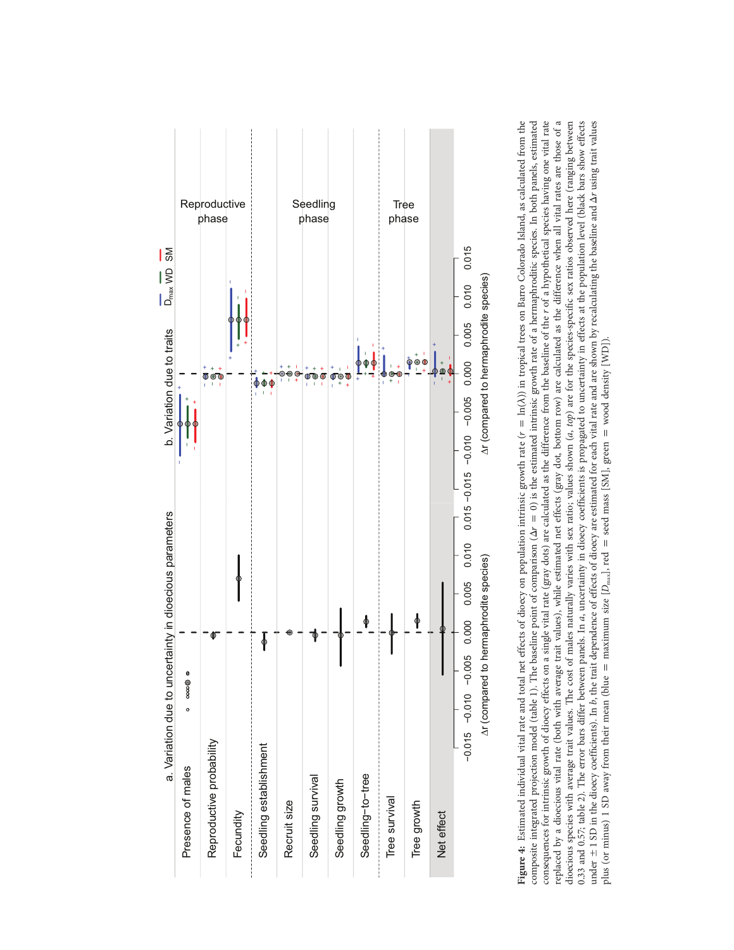

Figure 4: Estimated individual vital rate and total net effects of dioecy on population intrinsic growth rate  $(r = \ln(\lambda))$  in tropical trees on Barro Colorado Island, as calculated from the consequences for intrinsic growth of dioecy effects on a single vital rate (gray dots) are calculated as the difference from the baseline of the r of a hypothetical species having one vital rate replaced by a dioecious vital rate (both with average trait values), while estimated net effects (gray dot, bottom row) are calculated as the difference when all vital rates are those of a dioccious species with average trait values. The cost of males naturally varies with sex ratio; values shown (a, top) are for the species-specific sex ratios observed here (ranging between 0.33 and 0.57; table 2). The error bars differ between panels. In a, uncertainty in dioecy coefficients is propagated to uncertainty in effects at the population level (black bars show effects composite integrated projection model (table 1). The baseline point of comparison  $(\Delta r = 0)$  is the estimated intrinsic growth rate of a hermaphroditic species. In both panels, estimated under ±1 SD in the dioecy coefficients). In b, the trait dependence of effects of dioecy are estimated for each vital rate and are shown by recalculating the baseline and  $\Delta r$  using trait values Figure 4: Estimated individual vital rate and total net effects of dioecy on population intrinsic growth rate (r p ln(l)) in tropical trees on Barro Colorado Island, as calculated from the composite integrated projection model (table 1). The baseline point of comparison  $(\Delta r = 0)$  is the estimated intrinsic growth rate of a hermaphroditic species. In both panels, estimated consequences for intrinsic growth of dioecy effects on a single vital rate (gray dots) are calculated as the difference from the baseline of the r of a hypothetical species having one vital rate replaced by a dioecious vital rate (both with average trait values), while estimated net effects (gray dot, bottom row) are calculated as the difference when all vital rates are those of a dioecious species with average trait values. The cost of males naturally varies with sex ratio; values shown (a, top) are for the species-specific sex ratios observed here (ranging between 0.33 and 0.57; table 2). The error bars differ between panels. In a, uncertainty in dioecy coefficients is propagated to uncertainty in effects at the population level (black bars show effects under  $\pm$  1 SD in the dioecy coefficients). In b, the trait dependence of effects of dioecy are estimated for each vital rate and are shown by recalculating the baseline and  $\Delta r$  using trait values plus (or minus) 1 SD away from their mean (blue = maximum size  $[D_{\text{max}}]$ , red = seed mass [SM], green = wood density [WD]). plus (or minus) 1 SD away from their mean (blue = maximum size  $[D_{\text{max}}]$ , red = seed mass [SM], green = wood density [WD]).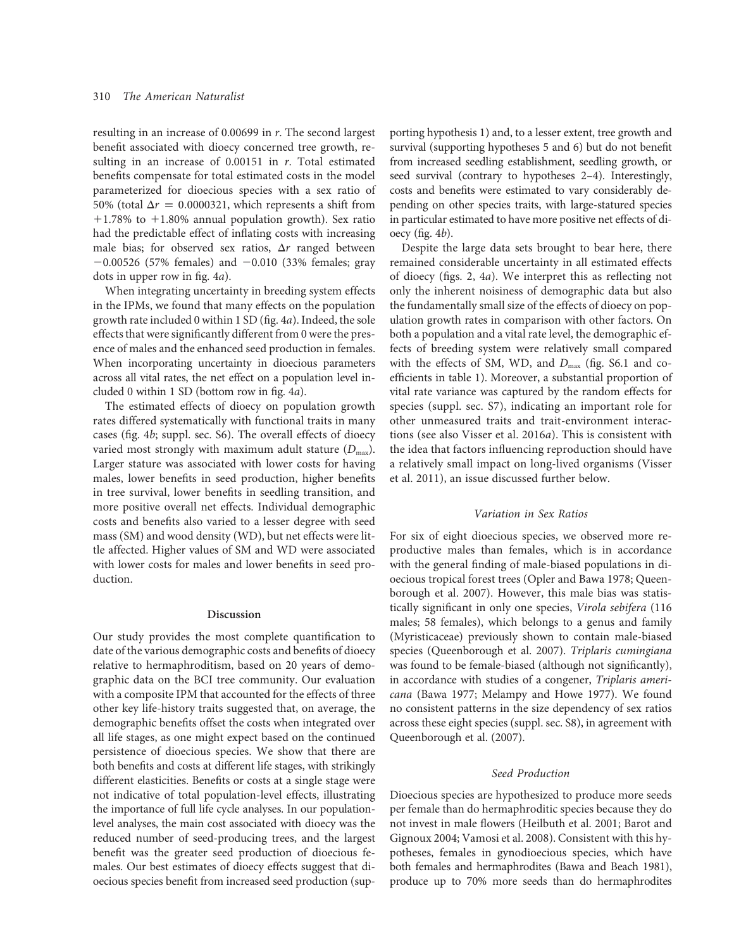resulting in an increase of 0.00699 in r. The second largest benefit associated with dioecy concerned tree growth, resulting in an increase of  $0.00151$  in  $r$ . Total estimated benefits compensate for total estimated costs in the model parameterized for dioecious species with a sex ratio of 50% (total  $\Delta r = 0.0000321$ , which represents a shift from  $+1.78\%$  to  $+1.80\%$  annual population growth). Sex ratio had the predictable effect of inflating costs with increasing male bias; for observed sex ratios,  $\Delta r$  ranged between  $-0.00526$  (57% females) and  $-0.010$  (33% females; gray dots in upper row in fig. 4a).

When integrating uncertainty in breeding system effects in the IPMs, we found that many effects on the population growth rate included 0 within 1 SD (fig. 4a). Indeed, the sole effects that were significantly different from 0 were the presence of males and the enhanced seed production in females. When incorporating uncertainty in dioecious parameters across all vital rates, the net effect on a population level included 0 within 1 SD (bottom row in fig. 4a).

The estimated effects of dioecy on population growth rates differed systematically with functional traits in many cases (fig. 4b; suppl. sec. S6). The overall effects of dioecy varied most strongly with maximum adult stature  $(D_{\text{max}})$ . Larger stature was associated with lower costs for having males, lower benefits in seed production, higher benefits in tree survival, lower benefits in seedling transition, and more positive overall net effects. Individual demographic costs and benefits also varied to a lesser degree with seed mass (SM) and wood density (WD), but net effects were little affected. Higher values of SM and WD were associated with lower costs for males and lower benefits in seed production.

### Discussion

Our study provides the most complete quantification to date of the various demographic costs and benefits of dioecy relative to hermaphroditism, based on 20 years of demographic data on the BCI tree community. Our evaluation with a composite IPM that accounted for the effects of three other key life-history traits suggested that, on average, the demographic benefits offset the costs when integrated over all life stages, as one might expect based on the continued persistence of dioecious species. We show that there are both benefits and costs at different life stages, with strikingly different elasticities. Benefits or costs at a single stage were not indicative of total population-level effects, illustrating the importance of full life cycle analyses. In our populationlevel analyses, the main cost associated with dioecy was the reduced number of seed-producing trees, and the largest benefit was the greater seed production of dioecious females. Our best estimates of dioecy effects suggest that dioecious species benefit from increased seed production (supporting hypothesis 1) and, to a lesser extent, tree growth and survival (supporting hypotheses 5 and 6) but do not benefit from increased seedling establishment, seedling growth, or seed survival (contrary to hypotheses 2–4). Interestingly, costs and benefits were estimated to vary considerably depending on other species traits, with large-statured species in particular estimated to have more positive net effects of dioecy (fig.  $4b$ ).

Despite the large data sets brought to bear here, there remained considerable uncertainty in all estimated effects of dioecy (figs. 2, 4a). We interpret this as reflecting not only the inherent noisiness of demographic data but also the fundamentally small size of the effects of dioecy on population growth rates in comparison with other factors. On both a population and a vital rate level, the demographic effects of breeding system were relatively small compared with the effects of SM, WD, and  $D_{\text{max}}$  (fig. S6.1 and coefficients in table 1). Moreover, a substantial proportion of vital rate variance was captured by the random effects for species (suppl. sec. S7), indicating an important role for other unmeasured traits and trait-environment interactions (see also Visser et al. 2016a). This is consistent with the idea that factors influencing reproduction should have a relatively small impact on long-lived organisms (Visser et al. 2011), an issue discussed further below.

#### Variation in Sex Ratios

For six of eight dioecious species, we observed more reproductive males than females, which is in accordance with the general finding of male-biased populations in dioecious tropical forest trees (Opler and Bawa 1978; Queenborough et al. 2007). However, this male bias was statistically significant in only one species, Virola sebifera (116 males; 58 females), which belongs to a genus and family (Myristicaceae) previously shown to contain male-biased species (Queenborough et al. 2007). Triplaris cumingiana was found to be female-biased (although not significantly), in accordance with studies of a congener, Triplaris americana (Bawa 1977; Melampy and Howe 1977). We found no consistent patterns in the size dependency of sex ratios across these eight species (suppl. sec. S8), in agreement with Queenborough et al. (2007).

# Seed Production

Dioecious species are hypothesized to produce more seeds per female than do hermaphroditic species because they do not invest in male flowers (Heilbuth et al. 2001; Barot and Gignoux 2004; Vamosi et al. 2008). Consistent with this hypotheses, females in gynodioecious species, which have both females and hermaphrodites (Bawa and Beach 1981), produce up to 70% more seeds than do hermaphrodites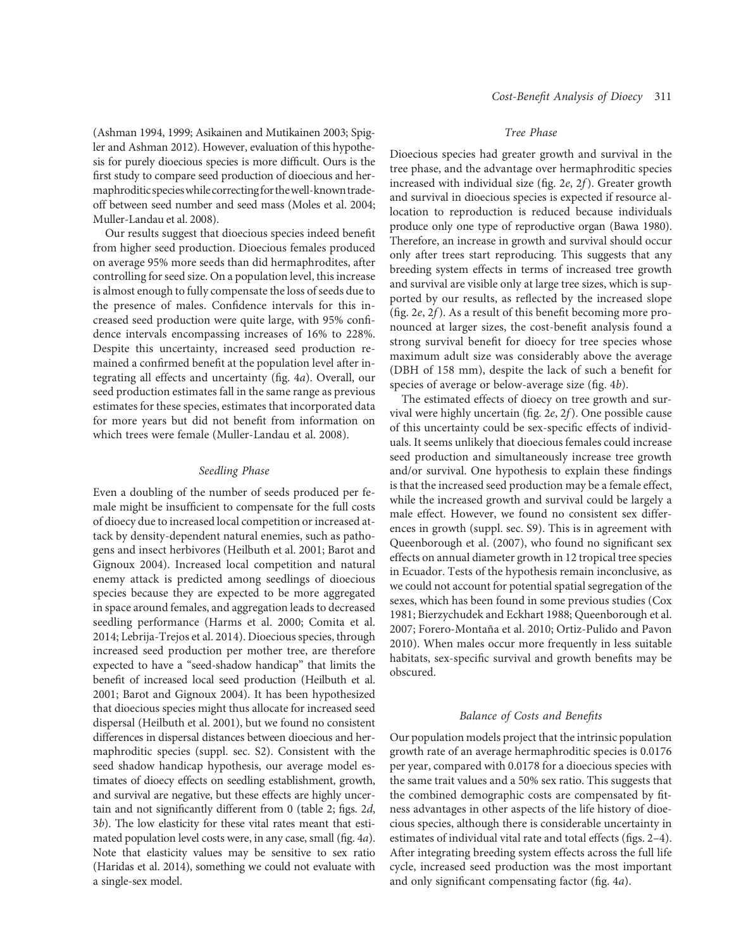(Ashman 1994, 1999; Asikainen and Mutikainen 2003; Spigler and Ashman 2012). However, evaluation of this hypothesis for purely dioecious species is more difficult. Ours is the first study to compare seed production of dioecious and hermaphroditicspecieswhilecorrectingfor thewell-known tradeoff between seed number and seed mass (Moles et al. 2004; Muller-Landau et al. 2008).

Our results suggest that dioecious species indeed benefit from higher seed production. Dioecious females produced on average 95% more seeds than did hermaphrodites, after controlling for seed size. On a population level, this increase is almost enough to fully compensate the loss of seeds due to the presence of males. Confidence intervals for this increased seed production were quite large, with 95% confidence intervals encompassing increases of 16% to 228%. Despite this uncertainty, increased seed production remained a confirmed benefit at the population level after integrating all effects and uncertainty (fig. 4a). Overall, our seed production estimates fall in the same range as previous estimates for these species, estimates that incorporated data for more years but did not benefit from information on which trees were female (Muller-Landau et al. 2008).

#### Seedling Phase

Even a doubling of the number of seeds produced per female might be insufficient to compensate for the full costs of dioecy due to increased local competition or increased attack by density-dependent natural enemies, such as pathogens and insect herbivores (Heilbuth et al. 2001; Barot and Gignoux 2004). Increased local competition and natural enemy attack is predicted among seedlings of dioecious species because they are expected to be more aggregated in space around females, and aggregation leads to decreased seedling performance (Harms et al. 2000; Comita et al. 2014; Lebrija-Trejos et al. 2014). Dioecious species, through increased seed production per mother tree, are therefore expected to have a "seed-shadow handicap" that limits the benefit of increased local seed production (Heilbuth et al. 2001; Barot and Gignoux 2004). It has been hypothesized that dioecious species might thus allocate for increased seed dispersal (Heilbuth et al. 2001), but we found no consistent differences in dispersal distances between dioecious and hermaphroditic species (suppl. sec. S2). Consistent with the seed shadow handicap hypothesis, our average model estimates of dioecy effects on seedling establishment, growth, and survival are negative, but these effects are highly uncertain and not significantly different from 0 (table 2; figs. 2d, 3b). The low elasticity for these vital rates meant that estimated population level costs were, in any case, small (fig. 4a). Note that elasticity values may be sensitive to sex ratio (Haridas et al. 2014), something we could not evaluate with a single-sex model.

# Tree Phase

Dioecious species had greater growth and survival in the tree phase, and the advantage over hermaphroditic species increased with individual size (fig. 2e, 2f). Greater growth and survival in dioecious species is expected if resource allocation to reproduction is reduced because individuals produce only one type of reproductive organ (Bawa 1980). Therefore, an increase in growth and survival should occur only after trees start reproducing. This suggests that any breeding system effects in terms of increased tree growth and survival are visible only at large tree sizes, which is supported by our results, as reflected by the increased slope (fig. 2e, 2f). As a result of this benefit becoming more pronounced at larger sizes, the cost-benefit analysis found a strong survival benefit for dioecy for tree species whose maximum adult size was considerably above the average (DBH of 158 mm), despite the lack of such a benefit for species of average or below-average size (fig. 4b).

The estimated effects of dioecy on tree growth and survival were highly uncertain (fig. 2e, 2f). One possible cause of this uncertainty could be sex-specific effects of individuals. It seems unlikely that dioecious females could increase seed production and simultaneously increase tree growth and/or survival. One hypothesis to explain these findings is that the increased seed production may be a female effect, while the increased growth and survival could be largely a male effect. However, we found no consistent sex differences in growth (suppl. sec. S9). This is in agreement with Queenborough et al. (2007), who found no significant sex effects on annual diameter growth in 12 tropical tree species in Ecuador. Tests of the hypothesis remain inconclusive, as we could not account for potential spatial segregation of the sexes, which has been found in some previous studies (Cox 1981; Bierzychudek and Eckhart 1988; Queenborough et al. 2007; Forero-Montaña et al. 2010; Ortiz-Pulido and Pavon 2010). When males occur more frequently in less suitable habitats, sex-specific survival and growth benefits may be obscured.

### Balance of Costs and Benefits

Our population models project that the intrinsic population growth rate of an average hermaphroditic species is 0.0176 per year, compared with 0.0178 for a dioecious species with the same trait values and a 50% sex ratio. This suggests that the combined demographic costs are compensated by fitness advantages in other aspects of the life history of dioecious species, although there is considerable uncertainty in estimates of individual vital rate and total effects (figs. 2–4). After integrating breeding system effects across the full life cycle, increased seed production was the most important and only significant compensating factor (fig. 4a).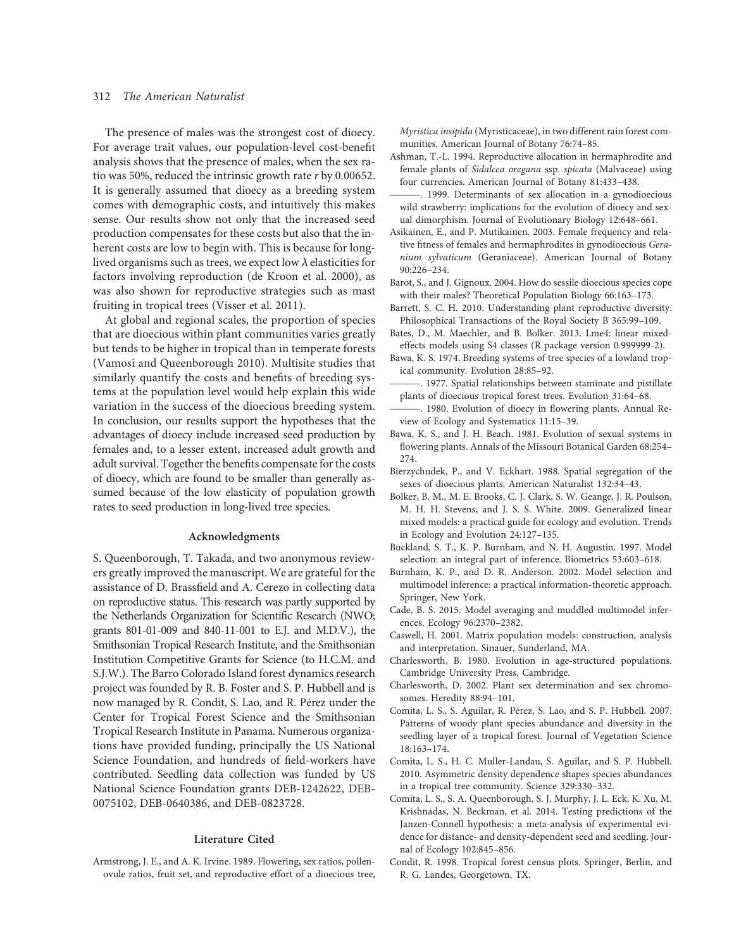# 312 The American Naturalist

The presence of males was the strongest cost of dioecy. For average trait values, our population-level cost-benefit analysis shows that the presence of males, when the sex ratio was 50%, reduced the intrinsic growth rate r by 0.00652. It is generally assumed that dioecy as a breeding system comes with demographic costs, and intuitively this makes sense. Our results show not only that the increased seed production compensates for these costs but also that the inherent costs are low to begin with. This is because for longlived organisms such as trees, we expect low  $\lambda$  elasticities for factors involving reproduction (de Kroon et al. 2000), as was also shown for reproductive strategies such as mast fruiting in tropical trees (Visser et al. 2011).

At global and regional scales, the proportion of species that are dioecious within plant communities varies greatly but tends to be higher in tropical than in temperate forests (Vamosi and Queenborough 2010). Multisite studies that similarly quantify the costs and benefits of breeding systems at the population level would help explain this wide variation in the success of the dioecious breeding system. In conclusion, our results support the hypotheses that the advantages of dioecy include increased seed production by females and, to a lesser extent, increased adult growth and adult survival. Together the benefits compensate for the costs of dioecy, which are found to be smaller than generally assumed because of the low elasticity of population growth rates to seed production in long-lived tree species.

# Acknowledgments

S. Queenborough, T. Takada, and two anonymous reviewers greatly improved the manuscript. We are grateful for the assistance of D. Brassfield and A. Cerezo in collecting data on reproductive status. This research was partly supported by the Netherlands Organization for Scientific Research (NWO; grants 801-01-009 and 840-11-001 to E.J. and M.D.V.), the Smithsonian Tropical Research Institute, and the Smithsonian Institution Competitive Grants for Science (to H.C.M. and S.J.W.). The Barro Colorado Island forest dynamics research project was founded by R. B. Foster and S. P. Hubbell and is now managed by R. Condit, S. Lao, and R. Pérez under the Center for Tropical Forest Science and the Smithsonian Tropical Research Institute in Panama. Numerous organizations have provided funding, principally the US National Science Foundation, and hundreds of field-workers have contributed. Seedling data collection was funded by US National Science Foundation grants DEB-1242622, DEB-0075102, DEB-0640386, and DEB-0823728.

## Literature Cited

Armstrong, J. E., and A. K. Irvine. 1989. Flowering, sex ratios, pollenovule ratios, fruit set, and reproductive effort of a dioecious tree, Myristica insipida (Myristicaceae), in two different rain forest communities. American Journal of Botany 76:74–85.

- Ashman, T.-L. 1994. Reproductive allocation in hermaphrodite and female plants of Sidalcea oregana ssp. spicata (Malvaceae) using four currencies. American Journal of Botany 81:433–438.
- -. 1999. Determinants of sex allocation in a gynodioecious wild strawberry: implications for the evolution of dioecy and sexual dimorphism. Journal of Evolutionary Biology 12:648–661.
- Asikainen, E., and P. Mutikainen. 2003. Female frequency and relative fitness of females and hermaphrodites in gynodioecious Geranium sylvaticum (Geraniaceae). American Journal of Botany 90:226–234.
- Barot, S., and J. Gignoux. 2004. How do sessile dioecious species cope with their males? Theoretical Population Biology 66:163–173.
- Barrett, S. C. H. 2010. Understanding plant reproductive diversity. Philosophical Transactions of the Royal Society B 365:99–109.
- Bates, D., M. Maechler, and B. Bolker. 2013. Lme4: linear mixedeffects models using S4 classes (R package version 0.999999-2).
- Bawa, K. S. 1974. Breeding systems of tree species of a lowland tropical community. Evolution 28:85–92.
- ———. 1977. Spatial relationships between staminate and pistillate plants of dioecious tropical forest trees. Evolution 31:64–68.
- -. 1980. Evolution of dioecy in flowering plants. Annual Review of Ecology and Systematics 11:15–39.
- Bawa, K. S., and J. H. Beach. 1981. Evolution of sexual systems in flowering plants. Annals of the Missouri Botanical Garden 68:254– 274.
- Bierzychudek, P., and V. Eckhart. 1988. Spatial segregation of the sexes of dioecious plants. American Naturalist 132:34–43.
- Bolker, B. M., M. E. Brooks, C. J. Clark, S. W. Geange, J. R. Poulson, M. H. H. Stevens, and J. S. S. White. 2009. Generalized linear mixed models: a practical guide for ecology and evolution. Trends in Ecology and Evolution 24:127–135.
- Buckland, S. T., K. P. Burnham, and N. H. Augustin. 1997. Model selection: an integral part of inference. Biometrics 53:603–618.
- Burnham, K. P., and D. R. Anderson. 2002. Model selection and multimodel inference: a practical information-theoretic approach. Springer, New York.
- Cade, B. S. 2015. Model averaging and muddled multimodel inferences. Ecology 96:2370–2382.
- Caswell, H. 2001. Matrix population models: construction, analysis and interpretation. Sinauer, Sunderland, MA.
- Charlesworth, B. 1980. Evolution in age-structured populations. Cambridge University Press, Cambridge.
- Charlesworth, D. 2002. Plant sex determination and sex chromosomes. Heredity 88:94–101.
- Comita, L. S., S. Aguilar, R. Pérez, S. Lao, and S. P. Hubbell. 2007. Patterns of woody plant species abundance and diversity in the seedling layer of a tropical forest. Journal of Vegetation Science 18:163–174.
- Comita, L. S., H. C. Muller-Landau, S. Aguilar, and S. P. Hubbell. 2010. Asymmetric density dependence shapes species abundances in a tropical tree community. Science 329:330–332.
- Comita, L. S., S. A. Queenborough, S. J. Murphy, J. L. Eck, K. Xu, M. Krishnadas, N. Beckman, et al. 2014. Testing predictions of the Janzen-Connell hypothesis: a meta-analysis of experimental evidence for distance- and density-dependent seed and seedling. Journal of Ecology 102:845–856.
- Condit, R. 1998. Tropical forest census plots. Springer, Berlin, and R. G. Landes, Georgetown, TX.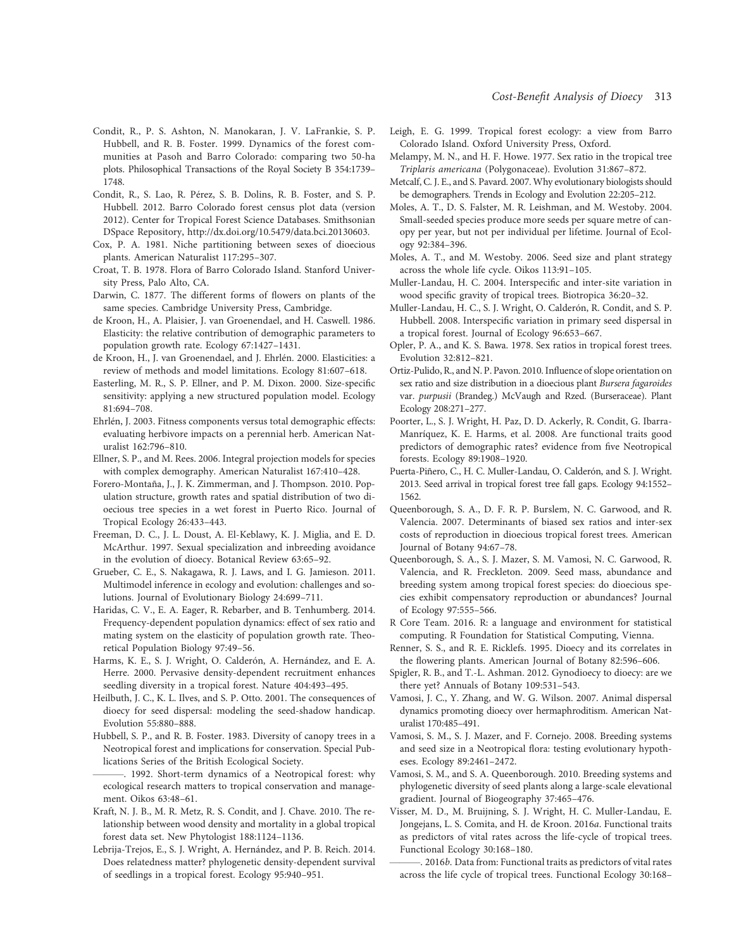- Condit, R., P. S. Ashton, N. Manokaran, J. V. LaFrankie, S. P. Hubbell, and R. B. Foster. 1999. Dynamics of the forest communities at Pasoh and Barro Colorado: comparing two 50-ha plots. Philosophical Transactions of the Royal Society B 354:1739– 1748.
- Condit, R., S. Lao, R. Pérez, S. B. Dolins, R. B. Foster, and S. P. Hubbell. 2012. Barro Colorado forest census plot data (version 2012). Center for Tropical Forest Science Databases. Smithsonian DSpace Repository, http://dx.doi.org/10.5479/data.bci.20130603.
- Cox, P. A. 1981. Niche partitioning between sexes of dioecious plants. American Naturalist 117:295–307.
- Croat, T. B. 1978. Flora of Barro Colorado Island. Stanford University Press, Palo Alto, CA.
- Darwin, C. 1877. The different forms of flowers on plants of the same species. Cambridge University Press, Cambridge.
- de Kroon, H., A. Plaisier, J. van Groenendael, and H. Caswell. 1986. Elasticity: the relative contribution of demographic parameters to population growth rate. Ecology 67:1427–1431.
- de Kroon, H., J. van Groenendael, and J. Ehrlén. 2000. Elasticities: a review of methods and model limitations. Ecology 81:607–618.
- Easterling, M. R., S. P. Ellner, and P. M. Dixon. 2000. Size-specific sensitivity: applying a new structured population model. Ecology 81:694–708.
- Ehrlén, J. 2003. Fitness components versus total demographic effects: evaluating herbivore impacts on a perennial herb. American Naturalist 162:796–810.
- Ellner, S. P., and M. Rees. 2006. Integral projection models for species with complex demography. American Naturalist 167:410–428.
- Forero-Montaña, J., J. K. Zimmerman, and J. Thompson. 2010. Population structure, growth rates and spatial distribution of two dioecious tree species in a wet forest in Puerto Rico. Journal of Tropical Ecology 26:433–443.
- Freeman, D. C., J. L. Doust, A. El-Keblawy, K. J. Miglia, and E. D. McArthur. 1997. Sexual specialization and inbreeding avoidance in the evolution of dioecy. Botanical Review 63:65–92.
- Grueber, C. E., S. Nakagawa, R. J. Laws, and I. G. Jamieson. 2011. Multimodel inference in ecology and evolution: challenges and solutions. Journal of Evolutionary Biology 24:699–711.
- Haridas, C. V., E. A. Eager, R. Rebarber, and B. Tenhumberg. 2014. Frequency-dependent population dynamics: effect of sex ratio and mating system on the elasticity of population growth rate. Theoretical Population Biology 97:49–56.
- Harms, K. E., S. J. Wright, O. Calderón, A. Hernández, and E. A. Herre. 2000. Pervasive density-dependent recruitment enhances seedling diversity in a tropical forest. Nature 404:493–495.
- Heilbuth, J. C., K. L. Ilves, and S. P. Otto. 2001. The consequences of dioecy for seed dispersal: modeling the seed-shadow handicap. Evolution 55:880–888.
- Hubbell, S. P., and R. B. Foster. 1983. Diversity of canopy trees in a Neotropical forest and implications for conservation. Special Publications Series of the British Ecological Society.
- -. 1992. Short-term dynamics of a Neotropical forest: why ecological research matters to tropical conservation and management. Oikos 63:48–61.
- Kraft, N. J. B., M. R. Metz, R. S. Condit, and J. Chave. 2010. The relationship between wood density and mortality in a global tropical forest data set. New Phytologist 188:1124–1136.
- Lebrija-Trejos, E., S. J. Wright, A. Hernández, and P. B. Reich. 2014. Does relatedness matter? phylogenetic density-dependent survival of seedlings in a tropical forest. Ecology 95:940–951.
- Leigh, E. G. 1999. Tropical forest ecology: a view from Barro Colorado Island. Oxford University Press, Oxford.
- Melampy, M. N., and H. F. Howe. 1977. Sex ratio in the tropical tree Triplaris americana (Polygonaceae). Evolution 31:867–872.
- Metcalf, C. J. E., and S. Pavard. 2007. Why evolutionary biologists should be demographers. Trends in Ecology and Evolution 22:205–212.
- Moles, A. T., D. S. Falster, M. R. Leishman, and M. Westoby. 2004. Small-seeded species produce more seeds per square metre of canopy per year, but not per individual per lifetime. Journal of Ecology 92:384–396.
- Moles, A. T., and M. Westoby. 2006. Seed size and plant strategy across the whole life cycle. Oikos 113:91–105.
- Muller-Landau, H. C. 2004. Interspecific and inter-site variation in wood specific gravity of tropical trees. Biotropica 36:20–32.
- Muller-Landau, H. C., S. J. Wright, O. Calderón, R. Condit, and S. P. Hubbell. 2008. Interspecific variation in primary seed dispersal in a tropical forest. Journal of Ecology 96:653–667.
- Opler, P. A., and K. S. Bawa. 1978. Sex ratios in tropical forest trees. Evolution 32:812–821.
- Ortiz-Pulido, R., and N. P. Pavon. 2010. Influence of slope orientation on sex ratio and size distribution in a dioecious plant Bursera fagaroides var. purpusii (Brandeg.) McVaugh and Rzed. (Burseraceae). Plant Ecology 208:271–277.
- Poorter, L., S. J. Wright, H. Paz, D. D. Ackerly, R. Condit, G. Ibarra-Manríquez, K. E. Harms, et al. 2008. Are functional traits good predictors of demographic rates? evidence from five Neotropical forests. Ecology 89:1908–1920.
- Puerta-Piñero, C., H. C. Muller-Landau, O. Calderón, and S. J. Wright. 2013. Seed arrival in tropical forest tree fall gaps. Ecology 94:1552– 1562.
- Queenborough, S. A., D. F. R. P. Burslem, N. C. Garwood, and R. Valencia. 2007. Determinants of biased sex ratios and inter-sex costs of reproduction in dioecious tropical forest trees. American Journal of Botany 94:67–78.
- Queenborough, S. A., S. J. Mazer, S. M. Vamosi, N. C. Garwood, R. Valencia, and R. Freckleton. 2009. Seed mass, abundance and breeding system among tropical forest species: do dioecious species exhibit compensatory reproduction or abundances? Journal of Ecology 97:555–566.
- R Core Team. 2016. R: a language and environment for statistical computing. R Foundation for Statistical Computing, Vienna.
- Renner, S. S., and R. E. Ricklefs. 1995. Dioecy and its correlates in the flowering plants. American Journal of Botany 82:596–606.
- Spigler, R. B., and T.-L. Ashman. 2012. Gynodioecy to dioecy: are we there yet? Annuals of Botany 109:531–543.
- Vamosi, J. C., Y. Zhang, and W. G. Wilson. 2007. Animal dispersal dynamics promoting dioecy over hermaphroditism. American Naturalist 170:485–491.
- Vamosi, S. M., S. J. Mazer, and F. Cornejo. 2008. Breeding systems and seed size in a Neotropical flora: testing evolutionary hypotheses. Ecology 89:2461–2472.
- Vamosi, S. M., and S. A. Queenborough. 2010. Breeding systems and phylogenetic diversity of seed plants along a large-scale elevational gradient. Journal of Biogeography 37:465–476.
- Visser, M. D., M. Bruijning, S. J. Wright, H. C. Muller-Landau, E. Jongejans, L. S. Comita, and H. de Kroon. 2016a. Functional traits as predictors of vital rates across the life-cycle of tropical trees. Functional Ecology 30:168–180.
- . 2016b. Data from: Functional traits as predictors of vital rates across the life cycle of tropical trees. Functional Ecology 30:168–